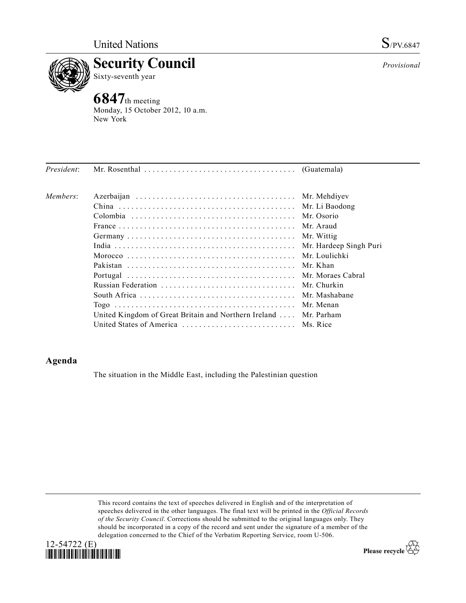

Sixty-seventh year

**6847**th meeting Monday, 15 October 2012, 10 a.m. New York

| President: |                                                                  |           |
|------------|------------------------------------------------------------------|-----------|
| Members:   |                                                                  |           |
|            |                                                                  |           |
|            |                                                                  |           |
|            |                                                                  |           |
|            |                                                                  |           |
|            |                                                                  |           |
|            |                                                                  |           |
|            |                                                                  |           |
|            |                                                                  |           |
|            |                                                                  |           |
|            |                                                                  |           |
|            |                                                                  | Mr. Menan |
|            | United Kingdom of Great Britain and Northern Ireland  Mr. Parham |           |
|            | United States of America  Ms. Rice                               |           |

## **Agenda**

The situation in the Middle East, including the Palestinian question

This record contains the text of speeches delivered in English and of the interpretation of speeches delivered in the other languages. The final text will be printed in the *Official Records of the Security Council*. Corrections should be submitted to the original languages only. They should be incorporated in a copy of the record and sent under the signature of a member of the delegation concerned to the Chief of the Verbatim Reporting Service, room U-506.



Please recycle  $\overleftrightarrow{C}$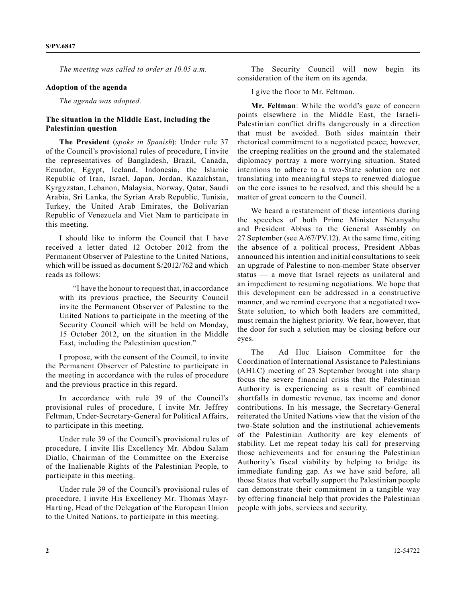*The meeting was called to order at 10.05 a.m.*

## **Adoption of the agenda**

*The agenda was adopted.*

## **The situation in the Middle East, including the Palestinian question**

**The President** (*spoke in Spanish*): Under rule 37 of the Council's provisional rules of procedure, I invite the representatives of Bangladesh, Brazil, Canada, Ecuador, Egypt, Iceland, Indonesia, the Islamic Republic of Iran, Israel, Japan, Jordan, Kazakhstan, Kyrgyzstan, Lebanon, Malaysia, Norway, Qatar, Saudi Arabia, Sri Lanka, the Syrian Arab Republic, Tunisia, Turkey, the United Arab Emirates, the Bolivarian Republic of Venezuela and Viet Nam to participate in this meeting.

I should like to inform the Council that I have received a letter dated 12 October 2012 from the Permanent Observer of Palestine to the United Nations, which will be issued as document S/2012/762 and which reads as follows:

"I have the honour to request that, in accordance with its previous practice, the Security Council invite the Permanent Observer of Palestine to the United Nations to participate in the meeting of the Security Council which will be held on Monday, 15 October 2012, on the situation in the Middle East, including the Palestinian question."

I propose, with the consent of the Council, to invite the Permanent Observer of Palestine to participate in the meeting in accordance with the rules of procedure and the previous practice in this regard.

In accordance with rule 39 of the Council's provisional rules of procedure, I invite Mr. Jeffrey Feltman, Under-Secretary-General for Political Affairs, to participate in this meeting.

Under rule 39 of the Council's provisional rules of procedure, I invite His Excellency Mr. Abdou Salam Diallo, Chairman of the Committee on the Exercise of the Inalienable Rights of the Palestinian People, to participate in this meeting.

Under rule 39 of the Council's provisional rules of procedure, I invite His Excellency Mr. Thomas Mayr-Harting, Head of the Delegation of the European Union to the United Nations, to participate in this meeting.

The Security Council will now begin its consideration of the item on its agenda.

I give the floor to Mr. Feltman.

**Mr. Feltman**: While the world's gaze of concern points elsewhere in the Middle East, the Israeli-Palestinian conflict drifts dangerously in a direction that must be avoided. Both sides maintain their rhetorical commitment to a negotiated peace; however, the creeping realities on the ground and the stalemated diplomacy portray a more worrying situation. Stated intentions to adhere to a two-State solution are not translating into meaningful steps to renewed dialogue on the core issues to be resolved, and this should be a matter of great concern to the Council.

We heard a restatement of these intentions during the speeches of both Prime Minister Netanyahu and President Abbas to the General Assembly on 27 September (see A/67/PV.12). At the same time, citing the absence of a political process, President Abbas announced his intention and initial consultations to seek an upgrade of Palestine to non-member State observer status — a move that Israel rejects as unilateral and an impediment to resuming negotiations. We hope that this development can be addressed in a constructive manner, and we remind everyone that a negotiated two-State solution, to which both leaders are committed, must remain the highest priority. We fear, however, that the door for such a solution may be closing before our eyes.

The Ad Hoc Liaison Committee for the Coordination of International Assistance to Palestinians (AHLC) meeting of 23 September brought into sharp focus the severe financial crisis that the Palestinian Authority is experiencing as a result of combined shortfalls in domestic revenue, tax income and donor contributions. In his message, the Secretary-General reiterated the United Nations view that the vision of the two-State solution and the institutional achievements of the Palestinian Authority are key elements of stability. Let me repeat today his call for preserving those achievements and for ensuring the Palestinian Authority's fiscal viability by helping to bridge its immediate funding gap. As we have said before, all those States that verbally support the Palestinian people can demonstrate their commitment in a tangible way by offering financial help that provides the Palestinian people with jobs, services and security.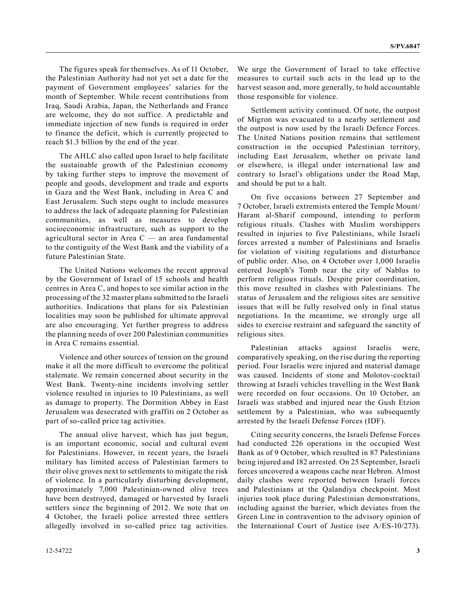The figures speak for themselves. As of 11 October, the Palestinian Authority had not yet set a date for the payment of Government employees' salaries for the month of September. While recent contributions from Iraq, Saudi Arabia, Japan, the Netherlands and France are welcome, they do not suffice. A predictable and immediate injection of new funds is required in order to finance the deficit, which is currently projected to reach \$1.3 billion by the end of the year.

The AHLC also called upon Israel to help facilitate the sustainable growth of the Palestinian economy by taking further steps to improve the movement of people and goods, development and trade and exports in Gaza and the West Bank, including in Area C and East Jerusalem. Such steps ought to include measures to address the lack of adequate planning for Palestinian communities, as well as measures to develop socioeconomic infrastructure, such as support to the agricultural sector in Area C — an area fundamental to the contiguity of the West Bank and the viability of a future Palestinian State.

The United Nations welcomes the recent approval by the Government of Israel of 15 schools and health centres in Area C, and hopes to see similar action in the processing of the 32 master plans submitted to the Israeli authorities. Indications that plans for six Palestinian localities may soon be published for ultimate approval are also encouraging. Yet further progress to address the planning needs of over 200 Palestinian communities in Area C remains essential.

Violence and other sources of tension on the ground make it all the more difficult to overcome the political stalemate. We remain concerned about security in the West Bank. Twenty-nine incidents involving settler violence resulted in injuries to 10 Palestinians, as well as damage to property. The Dormition Abbey in East Jerusalem was desecrated with graffiti on 2 October as part of so-called price tag activities.

The annual olive harvest, which has just begun, is an important economic, social and cultural event for Palestinians. However, in recent years, the Israeli military has limited access of Palestinian farmers to their olive groves next to settlements to mitigate the risk of violence. In a particularly disturbing development, approximately 7,000 Palestinian-owned olive trees have been destroyed, damaged or harvested by Israeli settlers since the beginning of 2012. We note that on 4 October, the Israeli police arrested three settlers allegedly involved in so-called price tag activities.

We urge the Government of Israel to take effective measures to curtail such acts in the lead up to the harvest season and, more generally, to hold accountable those responsible for violence.

Settlement activity continued. Of note, the outpost of Migron was evacuated to a nearby settlement and the outpost is now used by the Israeli Defence Forces. The United Nations position remains that settlement construction in the occupied Palestinian territory, including East Jerusalem, whether on private land or elsewhere, is illegal under international law and contrary to Israel's obligations under the Road Map, and should be put to a halt.

On five occasions between 27 September and 7 October, Israeli extremists entered the Temple Mount/ Haram al-Sharif compound, intending to perform religious rituals. Clashes with Muslim worshippers resulted in injuries to five Palestinians, while Israeli forces arrested a number of Palestinians and Israelis for violation of visiting regulations and disturbance of public order. Also, on 4 October over 1,000 Israelis entered Joseph's Tomb near the city of Nablus to perform religious rituals. Despite prior coordination, this move resulted in clashes with Palestinians. The status of Jerusalem and the religious sites are sensitive issues that will be fully resolved only in final status negotiations. In the meantime, we strongly urge all sides to exercise restraint and safeguard the sanctity of religious sites.

Palestinian attacks against Israelis were, comparatively speaking, on the rise during the reporting period. Four Israelis were injured and material damage was caused. Incidents of stone and Molotov-cocktail throwing at Israeli vehicles travelling in the West Bank were recorded on four occasions. On 10 October, an Israeli was stabbed and injured near the Gush Etzion settlement by a Palestinian, who was subsequently arrested by the Israeli Defense Forces (IDF).

Citing security concerns, the Israeli Defense Forces had conducted 226 operations in the occupied West Bank as of 9 October, which resulted in 87 Palestinians being injured and 182 arrested. On 25 September, Israeli forces uncovered a weapons cache near Hebron. Almost daily clashes were reported between Israeli forces and Palestinians at the Qalandiya checkpoint. Most injuries took place during Palestinian demonstrations, including against the barrier, which deviates from the Green Line in contravention to the advisory opinion of the International Court of Justice (see A/ES-10/273).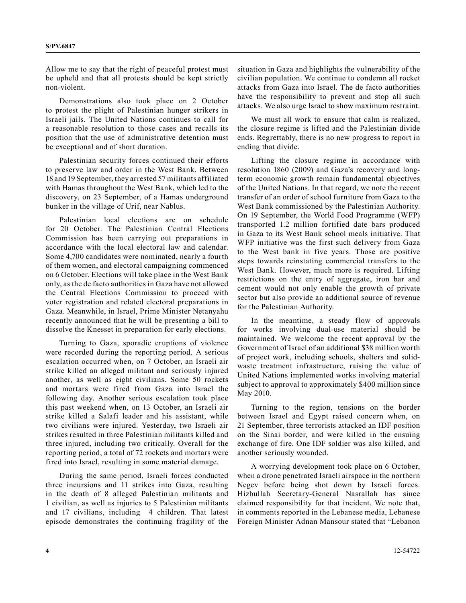Allow me to say that the right of peaceful protest must be upheld and that all protests should be kept strictly non-violent.

Demonstrations also took place on 2 October to protest the plight of Palestinian hunger strikers in Israeli jails. The United Nations continues to call for a reasonable resolution to those cases and recalls its position that the use of administrative detention must be exceptional and of short duration.

Palestinian security forces continued their efforts to preserve law and order in the West Bank. Between 18 and 19 September, they arrested 57 militants affiliated with Hamas throughout the West Bank, which led to the discovery, on 23 September, of a Hamas underground bunker in the village of Urif, near Nablus.

Palestinian local elections are on schedule for 20 October. The Palestinian Central Elections Commission has been carrying out preparations in accordance with the local electoral law and calendar. Some 4,700 candidates were nominated, nearly a fourth of them women, and electoral campaigning commenced on 6 October. Elections will take place in the West Bank only, as the de facto authorities in Gaza have not allowed the Central Elections Commission to proceed with voter registration and related electoral preparations in Gaza. Meanwhile, in Israel, Prime Minister Netanyahu recently announced that he will be presenting a bill to dissolve the Knesset in preparation for early elections.

Turning to Gaza, sporadic eruptions of violence were recorded during the reporting period. A serious escalation occurred when, on 7 October, an Israeli air strike killed an alleged militant and seriously injured another, as well as eight civilians. Some 50 rockets and mortars were fired from Gaza into Israel the following day. Another serious escalation took place this past weekend when, on 13 October, an Israeli air strike killed a Salafi leader and his assistant, while two civilians were injured. Yesterday, two Israeli air strikes resulted in three Palestinian militants killed and three injured, including two critically. Overall for the reporting period, a total of 72 rockets and mortars were fired into Israel, resulting in some material damage.

During the same period, Israeli forces conducted three incursions and 11 strikes into Gaza, resulting in the death of 8 alleged Palestinian militants and 1 civilian, as well as injuries to 5 Palestinian militants and 17 civilians, including 4 children. That latest episode demonstrates the continuing fragility of the situation in Gaza and highlights the vulnerability of the civilian population. We continue to condemn all rocket attacks from Gaza into Israel. The de facto authorities have the responsibility to prevent and stop all such attacks. We also urge Israel to show maximum restraint.

We must all work to ensure that calm is realized, the closure regime is lifted and the Palestinian divide ends. Regrettably, there is no new progress to report in ending that divide.

Lifting the closure regime in accordance with resolution 1860 (2009) and Gaza's recovery and longterm economic growth remain fundamental objectives of the United Nations. In that regard, we note the recent transfer of an order of school furniture from Gaza to the West Bank commissioned by the Palestinian Authority. On 19 September, the World Food Programme (WFP) transported 1.2 million fortified date bars produced in Gaza to its West Bank school meals initiative. That WFP initiative was the first such delivery from Gaza to the West bank in five years. Those are positive steps towards reinstating commercial transfers to the West Bank. However, much more is required. Lifting restrictions on the entry of aggregate, iron bar and cement would not only enable the growth of private sector but also provide an additional source of revenue for the Palestinian Authority.

In the meantime, a steady flow of approvals for works involving dual-use material should be maintained. We welcome the recent approval by the Government of Israel of an additional \$38 million worth of project work, including schools, shelters and solidwaste treatment infrastructure, raising the value of United Nations implemented works involving material subject to approval to approximately \$400 million since May 2010.

Turning to the region, tensions on the border between Israel and Egypt raised concern when, on 21 September, three terrorists attacked an IDF position on the Sinai border, and were killed in the ensuing exchange of fire. One IDF soldier was also killed, and another seriously wounded.

A worrying development took place on 6 October, when a drone penetrated Israeli airspace in the northern Negev before being shot down by Israeli forces. Hizbullah Secretary-General Nasrallah has since claimed responsibility for that incident. We note that, in comments reported in the Lebanese media, Lebanese Foreign Minister Adnan Mansour stated that "Lebanon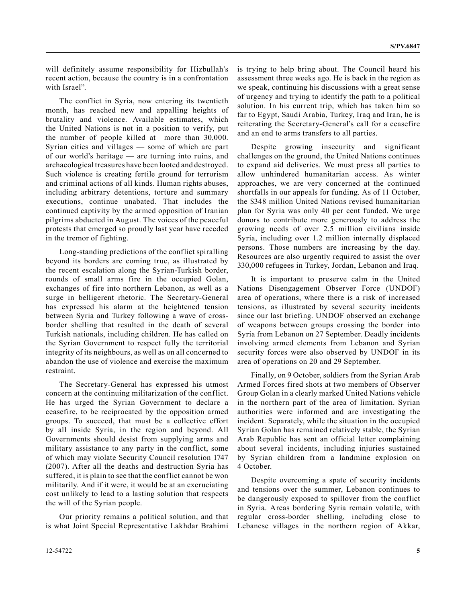will definitely assume responsibility for Hizbullah's recent action, because the country is in a confrontation with Israel".

The conflict in Syria, now entering its twentieth month, has reached new and appalling heights of brutality and violence. Available estimates, which the United Nations is not in a position to verify, put the number of people killed at more than 30,000. Syrian cities and villages — some of which are part of our world's heritage — are turning into ruins, and archaeological treasures have been looted and destroyed. Such violence is creating fertile ground for terrorism and criminal actions of all kinds. Human rights abuses, including arbitrary detentions, torture and summary executions, continue unabated. That includes the continued captivity by the armed opposition of Iranian pilgrims abducted in August. The voices of the peaceful protests that emerged so proudly last year have receded in the tremor of fighting.

Long-standing predictions of the conflict spiralling beyond its borders are coming true, as illustrated by the recent escalation along the Syrian-Turkish border, rounds of small arms fire in the occupied Golan, exchanges of fire into northern Lebanon, as well as a surge in belligerent rhetoric. The Secretary-General has expressed his alarm at the heightened tension between Syria and Turkey following a wave of crossborder shelling that resulted in the death of several Turkish nationals, including children. He has called on the Syrian Government to respect fully the territorial integrity of its neighbours, as well as on all concerned to abandon the use of violence and exercise the maximum restraint.

The Secretary-General has expressed his utmost concern at the continuing militarization of the conflict. He has urged the Syrian Government to declare a ceasefire, to be reciprocated by the opposition armed groups. To succeed, that must be a collective effort by all inside Syria, in the region and beyond. All Governments should desist from supplying arms and military assistance to any party in the conflict, some of which may violate Security Council resolution 1747 (2007). After all the deaths and destruction Syria has suffered, it is plain to see that the conflict cannot be won militarily. And if it were, it would be at an excruciating cost unlikely to lead to a lasting solution that respects the will of the Syrian people.

Our priority remains a political solution, and that is what Joint Special Representative Lakhdar Brahimi is trying to help bring about. The Council heard his assessment three weeks ago. He is back in the region as we speak, continuing his discussions with a great sense of urgency and trying to identify the path to a political solution. In his current trip, which has taken him so far to Egypt, Saudi Arabia, Turkey, Iraq and Iran, he is reiterating the Secretary-General's call for a ceasefire and an end to arms transfers to all parties.

Despite growing insecurity and significant challenges on the ground, the United Nations continues to expand aid deliveries. We must press all parties to allow unhindered humanitarian access. As winter approaches, we are very concerned at the continued shortfalls in our appeals for funding. As of 11 October, the \$348 million United Nations revised humanitarian plan for Syria was only 40 per cent funded. We urge donors to contribute more generously to address the growing needs of over 2.5 million civilians inside Syria, including over 1.2 million internally displaced persons. Those numbers are increasing by the day. Resources are also urgently required to assist the over 330,000 refugees in Turkey, Jordan, Lebanon and Iraq.

It is important to preserve calm in the United Nations Disengagement Observer Force (UNDOF) area of operations, where there is a risk of increased tensions, as illustrated by several security incidents since our last briefing. UNDOF observed an exchange of weapons between groups crossing the border into Syria from Lebanon on 27 September. Deadly incidents involving armed elements from Lebanon and Syrian security forces were also observed by UNDOF in its area of operations on 20 and 29 September.

Finally, on 9 October, soldiers from the Syrian Arab Armed Forces fired shots at two members of Observer Group Golan in a clearly marked United Nations vehicle in the northern part of the area of limitation. Syrian authorities were informed and are investigating the incident. Separately, while the situation in the occupied Syrian Golan has remained relatively stable, the Syrian Arab Republic has sent an official letter complaining about several incidents, including injuries sustained by Syrian children from a landmine explosion on 4 October.

Despite overcoming a spate of security incidents and tensions over the summer, Lebanon continues to be dangerously exposed to spillover from the conflict in Syria. Areas bordering Syria remain volatile, with regular cross-border shelling, including close to Lebanese villages in the northern region of Akkar,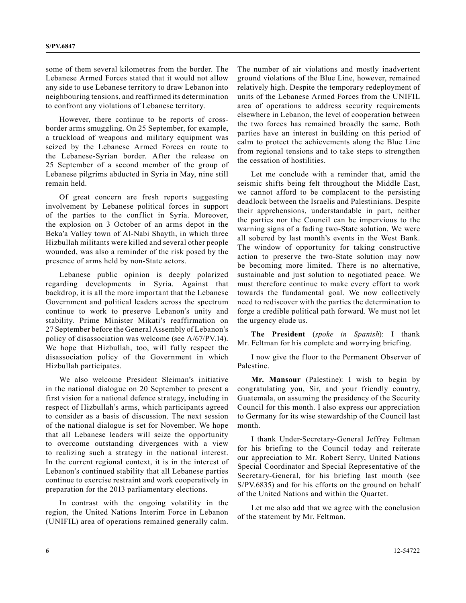some of them several kilometres from the border. The Lebanese Armed Forces stated that it would not allow any side to use Lebanese territory to draw Lebanon into neighbouring tensions, and reaffirmed its determination to confront any violations of Lebanese territory.

However, there continue to be reports of crossborder arms smuggling. On 25 September, for example, a truckload of weapons and military equipment was seized by the Lebanese Armed Forces en route to the Lebanese-Syrian border. After the release on 25 September of a second member of the group of Lebanese pilgrims abducted in Syria in May, nine still remain held.

Of great concern are fresh reports suggesting involvement by Lebanese political forces in support of the parties to the conflict in Syria. Moreover, the explosion on 3 October of an arms depot in the Beka'a Valley town of Al-Nabi Shayth, in which three Hizbullah militants were killed and several other people wounded, was also a reminder of the risk posed by the presence of arms held by non-State actors.

Lebanese public opinion is deeply polarized regarding developments in Syria. Against that backdrop, it is all the more important that the Lebanese Government and political leaders across the spectrum continue to work to preserve Lebanon's unity and stability. Prime Minister Mikati's reaffirmation on 27 September before the General Assembly of Lebanon's policy of disassociation was welcome (see A/67/PV.14). We hope that Hizbullah, too, will fully respect the disassociation policy of the Government in which Hizbullah participates.

We also welcome President Sleiman's initiative in the national dialogue on 20 September to present a first vision for a national defence strategy, including in respect of Hizbullah's arms, which participants agreed to consider as a basis of discussion. The next session of the national dialogue is set for November. We hope that all Lebanese leaders will seize the opportunity to overcome outstanding divergences with a view to realizing such a strategy in the national interest. In the current regional context, it is in the interest of Lebanon's continued stability that all Lebanese parties continue to exercise restraint and work cooperatively in preparation for the 2013 parliamentary elections.

In contrast with the ongoing volatility in the region, the United Nations Interim Force in Lebanon (UNIFIL) area of operations remained generally calm.

The number of air violations and mostly inadvertent ground violations of the Blue Line, however, remained relatively high. Despite the temporary redeployment of units of the Lebanese Armed Forces from the UNIFIL area of operations to address security requirements elsewhere in Lebanon, the level of cooperation between the two forces has remained broadly the same. Both parties have an interest in building on this period of calm to protect the achievements along the Blue Line from regional tensions and to take steps to strengthen the cessation of hostilities.

Let me conclude with a reminder that, amid the seismic shifts being felt throughout the Middle East, we cannot afford to be complacent to the persisting deadlock between the Israelis and Palestinians. Despite their apprehensions, understandable in part, neither the parties nor the Council can be impervious to the warning signs of a fading two-State solution. We were all sobered by last month's events in the West Bank. The window of opportunity for taking constructive action to preserve the two-State solution may now be becoming more limited. There is no alternative, sustainable and just solution to negotiated peace. We must therefore continue to make every effort to work towards the fundamental goal. We now collectively need to rediscover with the parties the determination to forge a credible political path forward. We must not let the urgency elude us.

**The President** (*spoke in Spanish*): I thank Mr. Feltman for his complete and worrying briefing.

I now give the floor to the Permanent Observer of Palestine.

**Mr. Mansour** (Palestine): I wish to begin by congratulating you, Sir, and your friendly country, Guatemala, on assuming the presidency of the Security Council for this month. I also express our appreciation to Germany for its wise stewardship of the Council last month.

I thank Under-Secretary-General Jeffrey Feltman for his briefing to the Council today and reiterate our appreciation to Mr. Robert Serry, United Nations Special Coordinator and Special Representative of the Secretary-General, for his briefing last month (see S/PV.6835) and for his efforts on the ground on behalf of the United Nations and within the Quartet.

Let me also add that we agree with the conclusion of the statement by Mr. Feltman.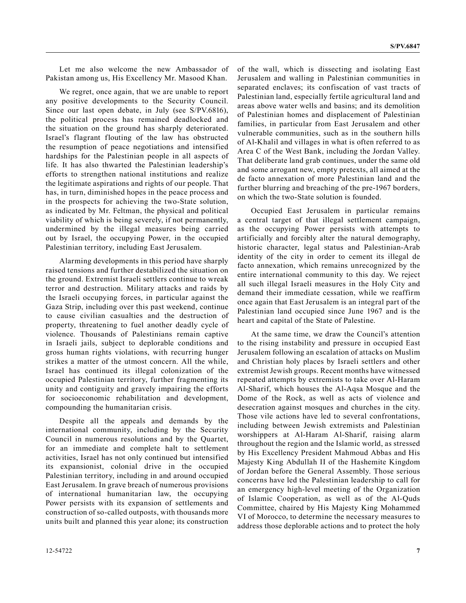Let me also welcome the new Ambassador of Pakistan among us, His Excellency Mr. Masood Khan.

We regret, once again, that we are unable to report any positive developments to the Security Council. Since our last open debate, in July (see S/PV.6816), the political process has remained deadlocked and the situation on the ground has sharply deteriorated. Israel's flagrant flouting of the law has obstructed the resumption of peace negotiations and intensified hardships for the Palestinian people in all aspects of life. It has also thwarted the Palestinian leadership's efforts to strengthen national institutions and realize the legitimate aspirations and rights of our people. That has, in turn, diminished hopes in the peace process and in the prospects for achieving the two-State solution, as indicated by Mr. Feltman, the physical and political viability of which is being severely, if not permanently, undermined by the illegal measures being carried out by Israel, the occupying Power, in the occupied Palestinian territory, including East Jerusalem.

Alarming developments in this period have sharply raised tensions and further destabilized the situation on the ground. Extremist Israeli settlers continue to wreak terror and destruction. Military attacks and raids by the Israeli occupying forces, in particular against the Gaza Strip, including over this past weekend, continue to cause civilian casualties and the destruction of property, threatening to fuel another deadly cycle of violence. Thousands of Palestinians remain captive in Israeli jails, subject to deplorable conditions and gross human rights violations, with recurring hunger strikes a matter of the utmost concern. All the while, Israel has continued its illegal colonization of the occupied Palestinian territory, further fragmenting its unity and contiguity and gravely impairing the efforts for socioeconomic rehabilitation and development, compounding the humanitarian crisis.

Despite all the appeals and demands by the international community, including by the Security Council in numerous resolutions and by the Quartet, for an immediate and complete halt to settlement activities, Israel has not only continued but intensified its expansionist, colonial drive in the occupied Palestinian territory, including in and around occupied East Jerusalem. In grave breach of numerous provisions of international humanitarian law, the occupying Power persists with its expansion of settlements and construction of so-called outposts, with thousands more units built and planned this year alone; its construction

of the wall, which is dissecting and isolating East Jerusalem and walling in Palestinian communities in separated enclaves; its confiscation of vast tracts of Palestinian land, especially fertile agricultural land and areas above water wells and basins; and its demolition of Palestinian homes and displacement of Palestinian families, in particular from East Jerusalem and other vulnerable communities, such as in the southern hills of Al-Khalil and villages in what is often referred to as Area C of the West Bank, including the Jordan Valley. That deliberate land grab continues, under the same old and some arrogant new, empty pretexts, all aimed at the de facto annexation of more Palestinian land and the further blurring and breaching of the pre-1967 borders, on which the two-State solution is founded.

Occupied East Jerusalem in particular remains a central target of that illegal settlement campaign, as the occupying Power persists with attempts to artificially and forcibly alter the natural demography, historic character, legal status and Palestinian-Arab identity of the city in order to cement its illegal de facto annexation, which remains unrecognized by the entire international community to this day. We reject all such illegal Israeli measures in the Holy City and demand their immediate cessation, while we reaffirm once again that East Jerusalem is an integral part of the Palestinian land occupied since June 1967 and is the heart and capital of the State of Palestine.

At the same time, we draw the Council's attention to the rising instability and pressure in occupied East Jerusalem following an escalation of attacks on Muslim and Christian holy places by Israeli settlers and other extremist Jewish groups. Recent months have witnessed repeated attempts by extremists to take over Al-Haram Al-Sharif, which houses the Al-Aqsa Mosque and the Dome of the Rock, as well as acts of violence and desecration against mosques and churches in the city. Those vile actions have led to several confrontations, including between Jewish extremists and Palestinian worshippers at Al-Haram Al-Sharif, raising alarm throughout the region and the Islamic world, as stressed by His Excellency President Mahmoud Abbas and His Majesty King Abdullah II of the Hashemite Kingdom of Jordan before the General Assembly. Those serious concerns have led the Palestinian leadership to call for an emergency high-level meeting of the Organization of Islamic Cooperation, as well as of the Al-Quds Committee, chaired by His Majesty King Mohammed VI of Morocco, to determine the necessary measures to address those deplorable actions and to protect the holy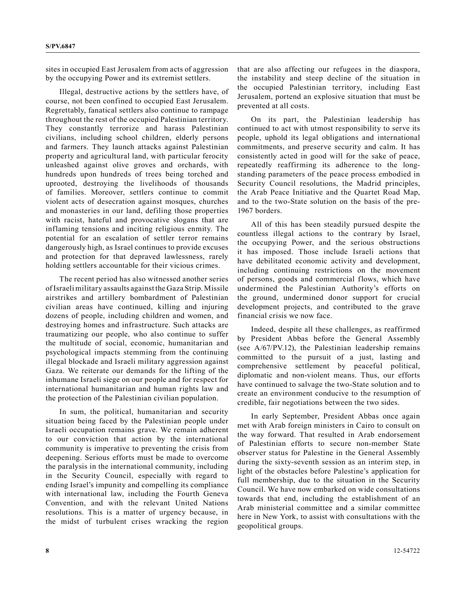sites in occupied East Jerusalem from acts of aggression by the occupying Power and its extremist settlers.

Illegal, destructive actions by the settlers have, of course, not been confined to occupied East Jerusalem. Regrettably, fanatical settlers also continue to rampage throughout the rest of the occupied Palestinian territory. They constantly terrorize and harass Palestinian civilians, including school children, elderly persons and farmers. They launch attacks against Palestinian property and agricultural land, with particular ferocity unleashed against olive groves and orchards, with hundreds upon hundreds of trees being torched and uprooted, destroying the livelihoods of thousands of families. Moreover, settlers continue to commit violent acts of desecration against mosques, churches and monasteries in our land, defiling those properties with racist, hateful and provocative slogans that are inflaming tensions and inciting religious enmity. The potential for an escalation of settler terror remains dangerously high, as Israel continues to provide excuses and protection for that depraved lawlessness, rarely holding settlers accountable for their vicious crimes.

The recent period has also witnessed another series of Israeli military assaults against the Gaza Strip. Missile airstrikes and artillery bombardment of Palestinian civilian areas have continued, killing and injuring dozens of people, including children and women, and destroying homes and infrastructure. Such attacks are traumatizing our people, who also continue to suffer the multitude of social, economic, humanitarian and psychological impacts stemming from the continuing illegal blockade and Israeli military aggression against Gaza. We reiterate our demands for the lifting of the inhumane Israeli siege on our people and for respect for international humanitarian and human rights law and the protection of the Palestinian civilian population.

In sum, the political, humanitarian and security situation being faced by the Palestinian people under Israeli occupation remains grave. We remain adherent to our conviction that action by the international community is imperative to preventing the crisis from deepening. Serious efforts must be made to overcome the paralysis in the international community, including in the Security Council, especially with regard to ending Israel's impunity and compelling its compliance with international law, including the Fourth Geneva Convention, and with the relevant United Nations resolutions. This is a matter of urgency because, in the midst of turbulent crises wracking the region

that are also affecting our refugees in the diaspora, the instability and steep decline of the situation in the occupied Palestinian territory, including East Jerusalem, portend an explosive situation that must be prevented at all costs.

On its part, the Palestinian leadership has continued to act with utmost responsibility to serve its people, uphold its legal obligations and international commitments, and preserve security and calm. It has consistently acted in good will for the sake of peace, repeatedly reaffirming its adherence to the longstanding parameters of the peace process embodied in Security Council resolutions, the Madrid principles, the Arab Peace Initiative and the Quartet Road Map, and to the two-State solution on the basis of the pre-1967 borders.

All of this has been steadily pursued despite the countless illegal actions to the contrary by Israel, the occupying Power, and the serious obstructions it has imposed. Those include Israeli actions that have debilitated economic activity and development, including continuing restrictions on the movement of persons, goods and commercial flows, which have undermined the Palestinian Authority's efforts on the ground, undermined donor support for crucial development projects, and contributed to the grave financial crisis we now face.

Indeed, despite all these challenges, as reaffirmed by President Abbas before the General Assembly (see A/67/PV.12), the Palestinian leadership remains committed to the pursuit of a just, lasting and comprehensive settlement by peaceful political, diplomatic and non-violent means. Thus, our efforts have continued to salvage the two-State solution and to create an environment conducive to the resumption of credible, fair negotiations between the two sides.

In early September, President Abbas once again met with Arab foreign ministers in Cairo to consult on the way forward. That resulted in Arab endorsement of Palestinian efforts to secure non-member State observer status for Palestine in the General Assembly during the sixty-seventh session as an interim step, in light of the obstacles before Palestine's application for full membership, due to the situation in the Security Council. We have now embarked on wide consultations towards that end, including the establishment of an Arab ministerial committee and a similar committee here in New York, to assist with consultations with the geopolitical groups.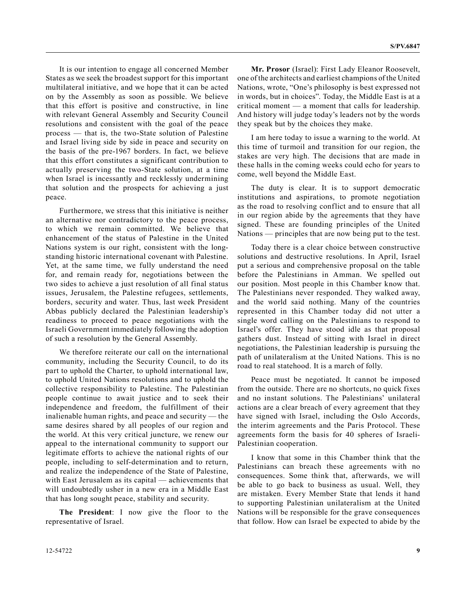It is our intention to engage all concerned Member States as we seek the broadest support for this important multilateral initiative, and we hope that it can be acted on by the Assembly as soon as possible. We believe that this effort is positive and constructive, in line with relevant General Assembly and Security Council resolutions and consistent with the goal of the peace process — that is, the two-State solution of Palestine and Israel living side by side in peace and security on the basis of the pre-1967 borders. In fact, we believe that this effort constitutes a significant contribution to actually preserving the two-State solution, at a time when Israel is incessantly and recklessly undermining that solution and the prospects for achieving a just peace.

Furthermore, we stress that this initiative is neither an alternative nor contradictory to the peace process, to which we remain committed. We believe that enhancement of the status of Palestine in the United Nations system is our right, consistent with the longstanding historic international covenant with Palestine. Yet, at the same time, we fully understand the need for, and remain ready for, negotiations between the two sides to achieve a just resolution of all final status issues, Jerusalem, the Palestine refugees, settlements, borders, security and water. Thus, last week President Abbas publicly declared the Palestinian leadership's readiness to proceed to peace negotiations with the Israeli Government immediately following the adoption of such a resolution by the General Assembly.

We therefore reiterate our call on the international community, including the Security Council, to do its part to uphold the Charter, to uphold international law, to uphold United Nations resolutions and to uphold the collective responsibility to Palestine. The Palestinian people continue to await justice and to seek their independence and freedom, the fulfillment of their inalienable human rights, and peace and security — the same desires shared by all peoples of our region and the world. At this very critical juncture, we renew our appeal to the international community to support our legitimate efforts to achieve the national rights of our people, including to self-determination and to return, and realize the independence of the State of Palestine, with East Jerusalem as its capital — achievements that will undoubtedly usher in a new era in a Middle East that has long sought peace, stability and security.

**The President**: I now give the floor to the representative of Israel.

**Mr. Prosor** (Israel): First Lady Eleanor Roosevelt, one of the architects and earliest champions of the United Nations, wrote, "One's philosophy is best expressed not in words, but in choices". Today, the Middle East is at a critical moment — a moment that calls for leadership. And history will judge today's leaders not by the words they speak but by the choices they make.

I am here today to issue a warning to the world. At this time of turmoil and transition for our region, the stakes are very high. The decisions that are made in these halls in the coming weeks could echo for years to come, well beyond the Middle East.

The duty is clear. It is to support democratic institutions and aspirations, to promote negotiation as the road to resolving conflict and to ensure that all in our region abide by the agreements that they have signed. These are founding principles of the United Nations — principles that are now being put to the test.

Today there is a clear choice between constructive solutions and destructive resolutions. In April, Israel put a serious and comprehensive proposal on the table before the Palestinians in Amman. We spelled out our position. Most people in this Chamber know that. The Palestinians never responded. They walked away, and the world said nothing. Many of the countries represented in this Chamber today did not utter a single word calling on the Palestinians to respond to Israel's offer. They have stood idle as that proposal gathers dust. Instead of sitting with Israel in direct negotiations, the Palestinian leadership is pursuing the path of unilateralism at the United Nations. This is no road to real statehood. It is a march of folly.

Peace must be negotiated. It cannot be imposed from the outside. There are no shortcuts, no quick fixes and no instant solutions. The Palestinians' unilateral actions are a clear breach of every agreement that they have signed with Israel, including the Oslo Accords, the interim agreements and the Paris Protocol. These agreements form the basis for 40 spheres of Israeli-Palestinian cooperation.

I know that some in this Chamber think that the Palestinians can breach these agreements with no consequences. Some think that, afterwards, we will be able to go back to business as usual. Well, they are mistaken. Every Member State that lends it hand to supporting Palestinian unilateralism at the United Nations will be responsible for the grave consequences that follow. How can Israel be expected to abide by the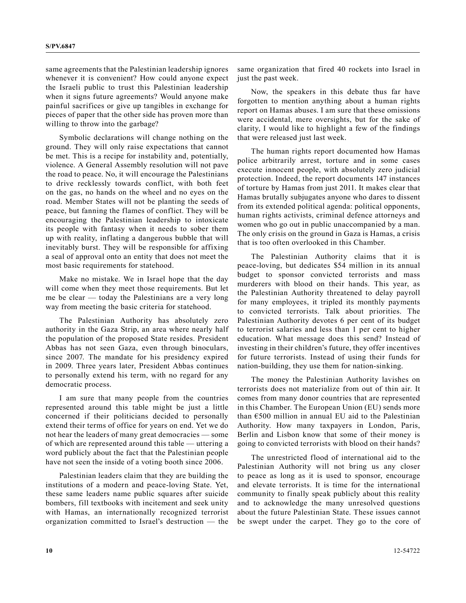same agreements that the Palestinian leadership ignores whenever it is convenient? How could anyone expect the Israeli public to trust this Palestinian leadership when it signs future agreements? Would anyone make painful sacrifices or give up tangibles in exchange for pieces of paper that the other side has proven more than willing to throw into the garbage?

Symbolic declarations will change nothing on the ground. They will only raise expectations that cannot be met. This is a recipe for instability and, potentially, violence. A General Assembly resolution will not pave the road to peace. No, it will encourage the Palestinians to drive recklessly towards conflict, with both feet on the gas, no hands on the wheel and no eyes on the road. Member States will not be planting the seeds of peace, but fanning the flames of conflict. They will be encouraging the Palestinian leadership to intoxicate its people with fantasy when it needs to sober them up with reality, inflating a dangerous bubble that will inevitably burst. They will be responsible for affixing a seal of approval onto an entity that does not meet the most basic requirements for statehood.

Make no mistake. We in Israel hope that the day will come when they meet those requirements. But let me be clear — today the Palestinians are a very long way from meeting the basic criteria for statehood.

The Palestinian Authority has absolutely zero authority in the Gaza Strip, an area where nearly half the population of the proposed State resides. President Abbas has not seen Gaza, even through binoculars, since 2007. The mandate for his presidency expired in 2009. Three years later, President Abbas continues to personally extend his term, with no regard for any democratic process.

I am sure that many people from the countries represented around this table might be just a little concerned if their politicians decided to personally extend their terms of office for years on end. Yet we do not hear the leaders of many great democracies — some of which are represented around this table — uttering a word publicly about the fact that the Palestinian people have not seen the inside of a voting booth since 2006.

Palestinian leaders claim that they are building the institutions of a modern and peace-loving State. Yet, these same leaders name public squares after suicide bombers, fill textbooks with incitement and seek unity with Hamas, an internationally recognized terrorist organization committed to Israel's destruction — the

same organization that fired 40 rockets into Israel in just the past week.

Now, the speakers in this debate thus far have forgotten to mention anything about a human rights report on Hamas abuses. I am sure that these omissions were accidental, mere oversights, but for the sake of clarity, I would like to highlight a few of the findings that were released just last week.

The human rights report documented how Hamas police arbitrarily arrest, torture and in some cases execute innocent people, with absolutely zero judicial protection. Indeed, the report documents 147 instances of torture by Hamas from just 2011. It makes clear that Hamas brutally subjugates anyone who dares to dissent from its extended political agenda: political opponents, human rights activists, criminal defence attorneys and women who go out in public unaccompanied by a man. The only crisis on the ground in Gaza is Hamas, a crisis that is too often overlooked in this Chamber.

The Palestinian Authority claims that it is peace-loving, but dedicates \$54 million in its annual budget to sponsor convicted terrorists and mass murderers with blood on their hands. This year, as the Palestinian Authority threatened to delay payroll for many employees, it tripled its monthly payments to convicted terrorists. Talk about priorities. The Palestinian Authority devotes 6 per cent of its budget to terrorist salaries and less than 1 per cent to higher education. What message does this send? Instead of investing in their children's future, they offer incentives for future terrorists. Instead of using their funds for nation-building, they use them for nation-sinking.

The money the Palestinian Authority lavishes on terrorists does not materialize from out of thin air. It comes from many donor countries that are represented in this Chamber. The European Union (EU) sends more than  $\epsilon$ 500 million in annual EU aid to the Palestinian Authority. How many taxpayers in London, Paris, Berlin and Lisbon know that some of their money is going to convicted terrorists with blood on their hands?

The unrestricted flood of international aid to the Palestinian Authority will not bring us any closer to peace as long as it is used to sponsor, encourage and elevate terrorists. It is time for the international community to finally speak publicly about this reality and to acknowledge the many unresolved questions about the future Palestinian State. These issues cannot be swept under the carpet. They go to the core of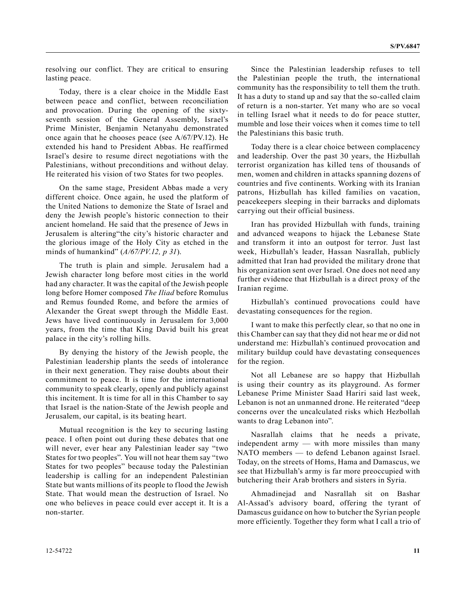resolving our conflict. They are critical to ensuring lasting peace.

Today, there is a clear choice in the Middle East between peace and conflict, between reconciliation and provocation. During the opening of the sixtyseventh session of the General Assembly, Israel's Prime Minister, Benjamin Netanyahu demonstrated once again that he chooses peace (see A/67/PV.12). He extended his hand to President Abbas. He reaffirmed Israel's desire to resume direct negotiations with the Palestinians, without preconditions and without delay. He reiterated his vision of two States for two peoples.

On the same stage, President Abbas made a very different choice. Once again, he used the platform of the United Nations to demonize the State of Israel and deny the Jewish people's historic connection to their ancient homeland. He said that the presence of Jews in Jerusalem is altering"the city's historic character and the glorious image of the Holy City as etched in the minds of humankind" (*A/67/PV.12, p 31*).

The truth is plain and simple. Jerusalem had a Jewish character long before most cities in the world had any character. It was the capital of the Jewish people long before Homer composed *The Iliad* before Romulus and Remus founded Rome, and before the armies of Alexander the Great swept through the Middle East. Jews have lived continuously in Jerusalem for 3,000 years, from the time that King David built his great palace in the city's rolling hills.

By denying the history of the Jewish people, the Palestinian leadership plants the seeds of intolerance in their next generation. They raise doubts about their commitment to peace. It is time for the international community to speak clearly, openly and publicly against this incitement. It is time for all in this Chamber to say that Israel is the nation-State of the Jewish people and Jerusalem, our capital, is its beating heart.

Mutual recognition is the key to securing lasting peace. I often point out during these debates that one will never, ever hear any Palestinian leader say "two States for two peoples". You will not hear them say "two States for two peoples" because today the Palestinian leadership is calling for an independent Palestinian State but wants millions of its people to flood the Jewish State. That would mean the destruction of Israel. No one who believes in peace could ever accept it. It is a non-starter.

Since the Palestinian leadership refuses to tell the Palestinian people the truth, the international community has the responsibility to tell them the truth. It has a duty to stand up and say that the so-called claim of return is a non-starter. Yet many who are so vocal in telling Israel what it needs to do for peace stutter, mumble and lose their voices when it comes time to tell the Palestinians this basic truth.

Today there is a clear choice between complacency and leadership. Over the past 30 years, the Hizbullah terrorist organization has killed tens of thousands of men, women and children in attacks spanning dozens of countries and five continents. Working with its Iranian patrons, Hizbullah has killed families on vacation, peacekeepers sleeping in their barracks and diplomats carrying out their official business.

Iran has provided Hizbullah with funds, training and advanced weapons to hijack the Lebanese State and transform it into an outpost for terror. Just last week, Hizbullah's leader, Hassan Nasrallah, publicly admitted that Iran had provided the military drone that his organization sent over Israel. One does not need any further evidence that Hizbullah is a direct proxy of the Iranian regime.

Hizbullah's continued provocations could have devastating consequences for the region.

I want to make this perfectly clear, so that no one in this Chamber can say that they did not hear me or did not understand me: Hizbullah's continued provocation and military buildup could have devastating consequences for the region.

Not all Lebanese are so happy that Hizbullah is using their country as its playground. As former Lebanese Prime Minister Saad Hariri said last week, Lebanon is not an unmanned drone. He reiterated "deep concerns over the uncalculated risks which Hezbollah wants to drag Lebanon into".

Nasrallah claims that he needs a private, independent army — with more missiles than many NATO members — to defend Lebanon against Israel. Today, on the streets of Homs, Hama and Damascus, we see that Hizbullah's army is far more preoccupied with butchering their Arab brothers and sisters in Syria.

Ahmadinejad and Nasrallah sit on Bashar Al-Assad's advisory board, offering the tyrant of Damascus guidance on how to butcher the Syrian people more efficiently. Together they form what I call a trio of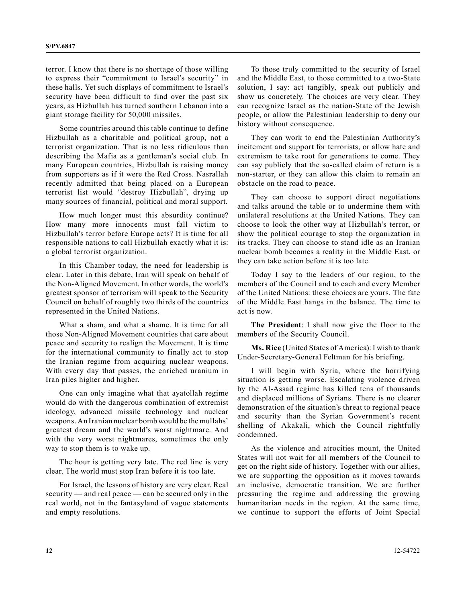terror. I know that there is no shortage of those willing to express their "commitment to Israel's security" in these halls. Yet such displays of commitment to Israel's security have been difficult to find over the past six years, as Hizbullah has turned southern Lebanon into a giant storage facility for 50,000 missiles.

Some countries around this table continue to define Hizbullah as a charitable and political group, not a terrorist organization. That is no less ridiculous than describing the Mafia as a gentleman's social club. In many European countries, Hizbullah is raising money from supporters as if it were the Red Cross. Nasrallah recently admitted that being placed on a European terrorist list would "destroy Hizbullah", drying up many sources of financial, political and moral support.

How much longer must this absurdity continue? How many more innocents must fall victim to Hizbullah's terror before Europe acts? It is time for all responsible nations to call Hizbullah exactly what it is: a global terrorist organization.

In this Chamber today, the need for leadership is clear. Later in this debate, Iran will speak on behalf of the Non-Aligned Movement. In other words, the world's greatest sponsor of terrorism will speak to the Security Council on behalf of roughly two thirds of the countries represented in the United Nations.

What a sham, and what a shame. It is time for all those Non-Aligned Movement countries that care about peace and security to realign the Movement. It is time for the international community to finally act to stop the Iranian regime from acquiring nuclear weapons. With every day that passes, the enriched uranium in Iran piles higher and higher.

One can only imagine what that ayatollah regime would do with the dangerous combination of extremist ideology, advanced missile technology and nuclear weapons. An Iranian nuclear bomb would be the mullahs' greatest dream and the world's worst nightmare. And with the very worst nightmares, sometimes the only way to stop them is to wake up.

The hour is getting very late. The red line is very clear. The world must stop Iran before it is too late.

For Israel, the lessons of history are very clear. Real security — and real peace — can be secured only in the real world, not in the fantasyland of vague statements and empty resolutions.

To those truly committed to the security of Israel and the Middle East, to those committed to a two-State solution, I say: act tangibly, speak out publicly and show us concretely. The choices are very clear. They can recognize Israel as the nation-State of the Jewish people, or allow the Palestinian leadership to deny our history without consequence.

They can work to end the Palestinian Authority's incitement and support for terrorists, or allow hate and extremism to take root for generations to come. They can say publicly that the so-called claim of return is a non-starter, or they can allow this claim to remain an obstacle on the road to peace.

They can choose to support direct negotiations and talks around the table or to undermine them with unilateral resolutions at the United Nations. They can choose to look the other way at Hizbullah's terror, or show the political courage to stop the organization in its tracks. They can choose to stand idle as an Iranian nuclear bomb becomes a reality in the Middle East, or they can take action before it is too late.

Today I say to the leaders of our region, to the members of the Council and to each and every Member of the United Nations: these choices are yours. The fate of the Middle East hangs in the balance. The time to act is now.

**The President**: I shall now give the floor to the members of the Security Council.

**Ms. Rice** (United States of America): I wish to thank Under-Secretary-General Feltman for his briefing.

I will begin with Syria, where the horrifying situation is getting worse. Escalating violence driven by the Al-Assad regime has killed tens of thousands and displaced millions of Syrians. There is no clearer demonstration of the situation's threat to regional peace and security than the Syrian Government's recent shelling of Akakali, which the Council rightfully condemned.

As the violence and atrocities mount, the United States will not wait for all members of the Council to get on the right side of history. Together with our allies, we are supporting the opposition as it moves towards an inclusive, democratic transition. We are further pressuring the regime and addressing the growing humanitarian needs in the region. At the same time, we continue to support the efforts of Joint Special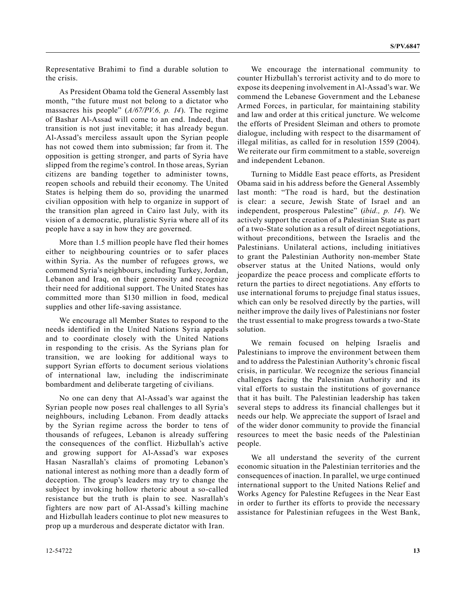Representative Brahimi to find a durable solution to the crisis.

As President Obama told the General Assembly last month, "the future must not belong to a dictator who massacres his people" (*A/67/PV.6, p. 14*). The regime of Bashar Al-Assad will come to an end. Indeed, that transition is not just inevitable; it has already begun. Al-Assad's merciless assault upon the Syrian people has not cowed them into submission; far from it. The opposition is getting stronger, and parts of Syria have slipped from the regime's control. In those areas, Syrian citizens are banding together to administer towns, reopen schools and rebuild their economy. The United States is helping them do so, providing the unarmed civilian opposition with help to organize in support of the transition plan agreed in Cairo last July, with its vision of a democratic, pluralistic Syria where all of its people have a say in how they are governed.

More than 1.5 million people have fled their homes either to neighbouring countries or to safer places within Syria. As the number of refugees grows, we commend Syria's neighbours, including Turkey, Jordan, Lebanon and Iraq, on their generosity and recognize their need for additional support. The United States has committed more than \$130 million in food, medical supplies and other life-saving assistance.

We encourage all Member States to respond to the needs identified in the United Nations Syria appeals and to coordinate closely with the United Nations in responding to the crisis. As the Syrians plan for transition, we are looking for additional ways to support Syrian efforts to document serious violations of international law, including the indiscriminate bombardment and deliberate targeting of civilians.

No one can deny that Al-Assad's war against the Syrian people now poses real challenges to all Syria's neighbours, including Lebanon. From deadly attacks by the Syrian regime across the border to tens of thousands of refugees, Lebanon is already suffering the consequences of the conflict. Hizbullah's active and growing support for Al-Assad's war exposes Hasan Nasrallah's claims of promoting Lebanon's national interest as nothing more than a deadly form of deception. The group's leaders may try to change the subject by invoking hollow rhetoric about a so-called resistance but the truth is plain to see. Nasrallah's fighters are now part of Al-Assad's killing machine and Hizbullah leaders continue to plot new measures to prop up a murderous and desperate dictator with Iran.

We encourage the international community to counter Hizbullah's terrorist activity and to do more to expose its deepening involvement in Al-Assad's war. We commend the Lebanese Government and the Lebanese Armed Forces, in particular, for maintaining stability and law and order at this critical juncture. We welcome the efforts of President Sleiman and others to promote dialogue, including with respect to the disarmament of illegal militias, as called for in resolution 1559 (2004). We reiterate our firm commitment to a stable, sovereign and independent Lebanon.

Turning to Middle East peace efforts, as President Obama said in his address before the General Assembly last month: "The road is hard, but the destination is clear: a secure, Jewish State of Israel and an independent, prosperous Palestine" (*ibid., p. 14*). We actively support the creation of a Palestinian State as part of a two-State solution as a result of direct negotiations, without preconditions, between the Israelis and the Palestinians. Unilateral actions, including initiatives to grant the Palestinian Authority non-member State observer status at the United Nations, would only jeopardize the peace process and complicate efforts to return the parties to direct negotiations. Any efforts to use international forums to prejudge final status issues, which can only be resolved directly by the parties, will neither improve the daily lives of Palestinians nor foster the trust essential to make progress towards a two-State solution.

We remain focused on helping Israelis and Palestinians to improve the environment between them and to address the Palestinian Authority's chronic fiscal crisis, in particular. We recognize the serious financial challenges facing the Palestinian Authority and its vital efforts to sustain the institutions of governance that it has built. The Palestinian leadership has taken several steps to address its financial challenges but it needs our help. We appreciate the support of Israel and of the wider donor community to provide the financial resources to meet the basic needs of the Palestinian people.

We all understand the severity of the current economic situation in the Palestinian territories and the consequences of inaction. In parallel, we urge continued international support to the United Nations Relief and Works Agency for Palestine Refugees in the Near East in order to further its efforts to provide the necessary assistance for Palestinian refugees in the West Bank,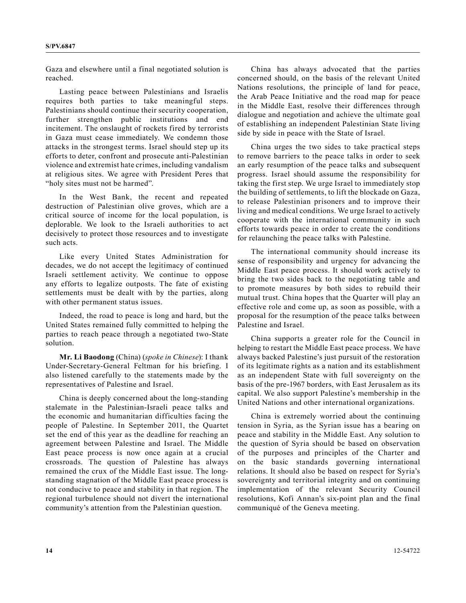Gaza and elsewhere until a final negotiated solution is reached.

Lasting peace between Palestinians and Israelis requires both parties to take meaningful steps. Palestinians should continue their security cooperation, further strengthen public institutions and end incitement. The onslaught of rockets fired by terrorists in Gaza must cease immediately. We condemn those attacks in the strongest terms. Israel should step up its efforts to deter, confront and prosecute anti-Palestinian violence and extremist hate crimes, including vandalism at religious sites. We agree with President Peres that "holy sites must not be harmed".

In the West Bank, the recent and repeated destruction of Palestinian olive groves, which are a critical source of income for the local population, is deplorable. We look to the Israeli authorities to act decisively to protect those resources and to investigate such acts.

Like every United States Administration for decades, we do not accept the legitimacy of continued Israeli settlement activity. We continue to oppose any efforts to legalize outposts. The fate of existing settlements must be dealt with by the parties, along with other permanent status issues.

Indeed, the road to peace is long and hard, but the United States remained fully committed to helping the parties to reach peace through a negotiated two-State solution.

**Mr. Li Baodong** (China) (*spoke in Chinese*): I thank Under-Secretary-General Feltman for his briefing. I also listened carefully to the statements made by the representatives of Palestine and Israel.

China is deeply concerned about the long-standing stalemate in the Palestinian-Israeli peace talks and the economic and humanitarian difficulties facing the people of Palestine. In September 2011, the Quartet set the end of this year as the deadline for reaching an agreement between Palestine and Israel. The Middle East peace process is now once again at a crucial crossroads. The question of Palestine has always remained the crux of the Middle East issue. The longstanding stagnation of the Middle East peace process is not conducive to peace and stability in that region. The regional turbulence should not divert the international community's attention from the Palestinian question.

China has always advocated that the parties concerned should, on the basis of the relevant United Nations resolutions, the principle of land for peace, the Arab Peace Initiative and the road map for peace in the Middle East, resolve their differences through dialogue and negotiation and achieve the ultimate goal of establishing an independent Palestinian State living side by side in peace with the State of Israel.

China urges the two sides to take practical steps to remove barriers to the peace talks in order to seek an early resumption of the peace talks and subsequent progress. Israel should assume the responsibility for taking the first step. We urge Israel to immediately stop the building of settlements, to lift the blockade on Gaza, to release Palestinian prisoners and to improve their living and medical conditions. We urge Israel to actively cooperate with the international community in such efforts towards peace in order to create the conditions for relaunching the peace talks with Palestine.

The international community should increase its sense of responsibility and urgency for advancing the Middle East peace process. It should work actively to bring the two sides back to the negotiating table and to promote measures by both sides to rebuild their mutual trust. China hopes that the Quarter will play an effective role and come up, as soon as possible, with a proposal for the resumption of the peace talks between Palestine and Israel.

China supports a greater role for the Council in helping to restart the Middle East peace process. We have always backed Palestine's just pursuit of the restoration of its legitimate rights as a nation and its establishment as an independent State with full sovereignty on the basis of the pre-1967 borders, with East Jerusalem as its capital. We also support Palestine's membership in the United Nations and other international organizations.

China is extremely worried about the continuing tension in Syria, as the Syrian issue has a bearing on peace and stability in the Middle East. Any solution to the question of Syria should be based on observation of the purposes and principles of the Charter and on the basic standards governing international relations. It should also be based on respect for Syria's sovereignty and territorial integrity and on continuing implementation of the relevant Security Council resolutions, Kofi Annan's six-point plan and the final communiqué of the Geneva meeting.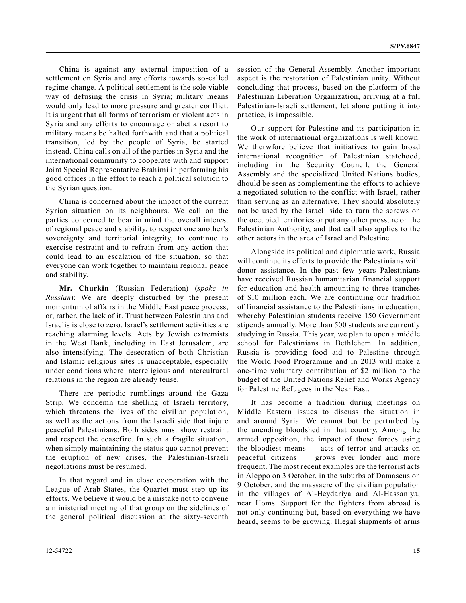China is against any external imposition of a settlement on Syria and any efforts towards so-called regime change. A political settlement is the sole viable way of defusing the crisis in Syria; military means would only lead to more pressure and greater conflict. It is urgent that all forms of terrorism or violent acts in Syria and any efforts to encourage or abet a resort to military means be halted forthwith and that a political transition, led by the people of Syria, be started instead. China calls on all of the parties in Syria and the international community to cooperate with and support Joint Special Representative Brahimi in performing his good offices in the effort to reach a political solution to the Syrian question.

China is concerned about the impact of the current Syrian situation on its neighbours. We call on the parties concerned to bear in mind the overall interest of regional peace and stability, to respect one another's sovereignty and territorial integrity, to continue to exercise restraint and to refrain from any action that could lead to an escalation of the situation, so that everyone can work together to maintain regional peace and stability.

**Mr. Churkin** (Russian Federation) (*spoke in Russian*): We are deeply disturbed by the present momentum of affairs in the Middle East peace process, or, rather, the lack of it. Trust between Palestinians and Israelis is close to zero. Israel's settlement activities are reaching alarming levels. Acts by Jewish extremists in the West Bank, including in East Jerusalem, are also intensifying. The desecration of both Christian and Islamic religious sites is unacceptable, especially under conditions where interreligious and intercultural relations in the region are already tense.

There are periodic rumblings around the Gaza Strip. We condemn the shelling of Israeli territory, which threatens the lives of the civilian population, as well as the actions from the Israeli side that injure peaceful Palestinians. Both sides must show restraint and respect the ceasefire. In such a fragile situation, when simply maintaining the status quo cannot prevent the eruption of new crises, the Palestinian-Israeli negotiations must be resumed.

In that regard and in close cooperation with the League of Arab States, the Quartet must step up its efforts. We believe it would be a mistake not to convene a ministerial meeting of that group on the sidelines of the general political discussion at the sixty-seventh

12-54722 **15**

session of the General Assembly. Another important aspect is the restoration of Palestinian unity. Without concluding that process, based on the platform of the Palestinian Liberation Organization, arriving at a full Palestinian-Israeli settlement, let alone putting it into practice, is impossible.

Our support for Palestine and its participation in the work of international organizations is well known. We therwfore believe that initiatives to gain broad international recognition of Palestinian statehood, including in the Security Council, the General Assembly and the specialized United Nations bodies, dhould be seen as complementing the efforts to achieve a negotiated solution to the conflict with Israel, rather than serving as an alternative. They should absolutely not be used by the Israeli side to turn the screws on the occupied territories or put any other pressure on the Palestinian Authority, and that call also applies to the other actors in the area of Israel and Palestine.

Alongside its political and diplomatic work, Russia will continue its efforts to provide the Palestinians with donor assistance. In the past few years Palestinians have received Russian humanitarian financial support for education and health amounting to three tranches of \$10 million each. We are continuing our tradition of financial assistance to the Palestinians in education, whereby Palestinian students receive 150 Government stipends annually. More than 500 students are currently studying in Russia. This year, we plan to open a middle school for Palestinians in Bethlehem. In addition, Russia is providing food aid to Palestine through the World Food Programme and in 2013 will make a one-time voluntary contribution of \$2 million to the budget of the United Nations Relief and Works Agency for Palestine Refugees in the Near East.

It has become a tradition during meetings on Middle Eastern issues to discuss the situation in and around Syria. We cannot but be perturbed by the unending bloodshed in that country. Among the armed opposition, the impact of those forces using the bloodiest means — acts of terror and attacks on peaceful citizens — grows ever louder and more frequent. The most recent examples are the terrorist acts in Aleppo on 3 October, in the suburbs of Damascus on 9 October, and the massacre of the civilian population in the villages of Al-Heydariya and Al-Hassaniya, near Homs. Support for the fighters from abroad is not only continuing but, based on everything we have heard, seems to be growing. Illegal shipments of arms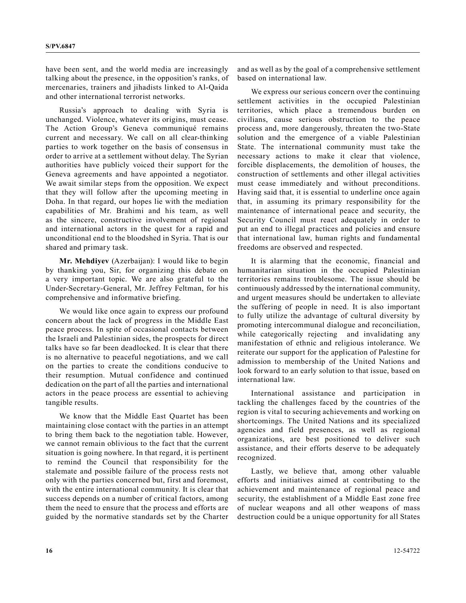have been sent, and the world media are increasingly talking about the presence, in the opposition's ranks, of mercenaries, trainers and jihadists linked to Al-Qaida and other international terrorist networks.

Russia's approach to dealing with Syria is unchanged. Violence, whatever its origins, must cease. The Action Group's Geneva communiqué remains current and necessary. We call on all clear-thinking parties to work together on the basis of consensus in order to arrive at a settlement without delay. The Syrian authorities have publicly voiced their support for the Geneva agreements and have appointed a negotiator. We await similar steps from the opposition. We expect that they will follow after the upcoming meeting in Doha. In that regard, our hopes lie with the mediation capabilities of Mr. Brahimi and his team, as well as the sincere, constructive involvement of regional and international actors in the quest for a rapid and unconditional end to the bloodshed in Syria. That is our shared and primary task.

**Mr. Mehdiyev** (Azerbaijan): I would like to begin by thanking you, Sir, for organizing this debate on a very important topic. We are also grateful to the Under-Secretary-General, Mr. Jeffrey Feltman, for his comprehensive and informative briefing.

We would like once again to express our profound concern about the lack of progress in the Middle East peace process. In spite of occasional contacts between the Israeli and Palestinian sides, the prospects for direct talks have so far been deadlocked. It is clear that there is no alternative to peaceful negotiations, and we call on the parties to create the conditions conducive to their resumption. Mutual confidence and continued dedication on the part of all the parties and international actors in the peace process are essential to achieving tangible results.

We know that the Middle East Quartet has been maintaining close contact with the parties in an attempt to bring them back to the negotiation table. However, we cannot remain oblivious to the fact that the current situation is going nowhere. In that regard, it is pertinent to remind the Council that responsibility for the stalemate and possible failure of the process rests not only with the parties concerned but, first and foremost, with the entire international community. It is clear that success depends on a number of critical factors, among them the need to ensure that the process and efforts are guided by the normative standards set by the Charter

and as well as by the goal of a comprehensive settlement based on international law.

We express our serious concern over the continuing settlement activities in the occupied Palestinian territories, which place a tremendous burden on civilians, cause serious obstruction to the peace process and, more dangerously, threaten the two-State solution and the emergence of a viable Palestinian State. The international community must take the necessary actions to make it clear that violence, forcible displacements, the demolition of houses, the construction of settlements and other illegal activities must cease immediately and without preconditions. Having said that, it is essential to underline once again that, in assuming its primary responsibility for the maintenance of international peace and security, the Security Council must react adequately in order to put an end to illegal practices and policies and ensure that international law, human rights and fundamental freedoms are observed and respected.

It is alarming that the economic, financial and humanitarian situation in the occupied Palestinian territories remains troublesome. The issue should be continuously addressed by the international community, and urgent measures should be undertaken to alleviate the suffering of people in need. It is also important to fully utilize the advantage of cultural diversity by promoting intercommunal dialogue and reconciliation, while categorically rejecting and invalidating any manifestation of ethnic and religious intolerance. We reiterate our support for the application of Palestine for admission to membership of the United Nations and look forward to an early solution to that issue, based on international law.

International assistance and participation in tackling the challenges faced by the countries of the region is vital to securing achievements and working on shortcomings. The United Nations and its specialized agencies and field presences, as well as regional organizations, are best positioned to deliver such assistance, and their efforts deserve to be adequately recognized.

Lastly, we believe that, among other valuable efforts and initiatives aimed at contributing to the achievement and maintenance of regional peace and security, the establishment of a Middle East zone free of nuclear weapons and all other weapons of mass destruction could be a unique opportunity for all States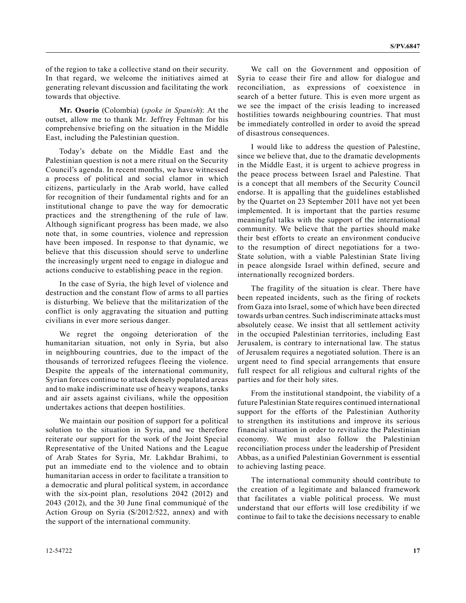of the region to take a collective stand on their security. In that regard, we welcome the initiatives aimed at generating relevant discussion and facilitating the work towards that objective.

**Mr. Osorio** (Colombia) (*spoke in Spanish*): At the outset, allow me to thank Mr. Jeffrey Feltman for his comprehensive briefing on the situation in the Middle East, including the Palestinian question.

Today's debate on the Middle East and the Palestinian question is not a mere ritual on the Security Council's agenda. In recent months, we have witnessed a process of political and social clamor in which citizens, particularly in the Arab world, have called for recognition of their fundamental rights and for an institutional change to pave the way for democratic practices and the strengthening of the rule of law. Although significant progress has been made, we also note that, in some countries, violence and repression have been imposed. In response to that dynamic, we believe that this discussion should serve to underline the increasingly urgent need to engage in dialogue and actions conducive to establishing peace in the region.

In the case of Syria, the high level of violence and destruction and the constant flow of arms to all parties is disturbing. We believe that the militarization of the conflict is only aggravating the situation and putting civilians in ever more serious danger.

We regret the ongoing deterioration of the humanitarian situation, not only in Syria, but also in neighbouring countries, due to the impact of the thousands of terrorized refugees fleeing the violence. Despite the appeals of the international community, Syrian forces continue to attack densely populated areas and to make indiscriminate use of heavy weapons, tanks and air assets against civilians, while the opposition undertakes actions that deepen hostilities.

We maintain our position of support for a political solution to the situation in Syria, and we therefore reiterate our support for the work of the Joint Special Representative of the United Nations and the League of Arab States for Syria, Mr. Lakhdar Brahimi, to put an immediate end to the violence and to obtain humanitarian access in order to facilitate a transition to a democratic and plural political system, in accordance with the six-point plan, resolutions 2042 (2012) and 2043 (2012), and the 30 June final communiqué of the Action Group on Syria (S/2012/522, annex) and with the support of the international community.

We call on the Government and opposition of Syria to cease their fire and allow for dialogue and reconciliation, as expressions of coexistence in search of a better future. This is even more urgent as we see the impact of the crisis leading to increased hostilities towards neighbouring countries. That must be immediately controlled in order to avoid the spread of disastrous consequences.

I would like to address the question of Palestine, since we believe that, due to the dramatic developments in the Middle East, it is urgent to achieve progress in the peace process between Israel and Palestine. That is a concept that all members of the Security Council endorse. It is appalling that the guidelines established by the Quartet on 23 September 2011 have not yet been implemented. It is important that the parties resume meaningful talks with the support of the international community. We believe that the parties should make their best efforts to create an environment conducive to the resumption of direct negotiations for a two-State solution, with a viable Palestinian State living in peace alongside Israel within defined, secure and internationally recognized borders.

The fragility of the situation is clear. There have been repeated incidents, such as the firing of rockets from Gaza into Israel, some of which have been directed towards urban centres. Such indiscriminate attacks must absolutely cease. We insist that all settlement activity in the occupied Palestinian territories, including East Jerusalem, is contrary to international law. The status of Jerusalem requires a negotiated solution. There is an urgent need to find special arrangements that ensure full respect for all religious and cultural rights of the parties and for their holy sites.

From the institutional standpoint, the viability of a future Palestinian State requires continued international support for the efforts of the Palestinian Authority to strengthen its institutions and improve its serious financial situation in order to revitalize the Palestinian economy. We must also follow the Palestinian reconciliation process under the leadership of President Abbas, as a unified Palestinian Government is essential to achieving lasting peace.

The international community should contribute to the creation of a legitimate and balanced framework that facilitates a viable political process. We must understand that our efforts will lose credibility if we continue to fail to take the decisions necessary to enable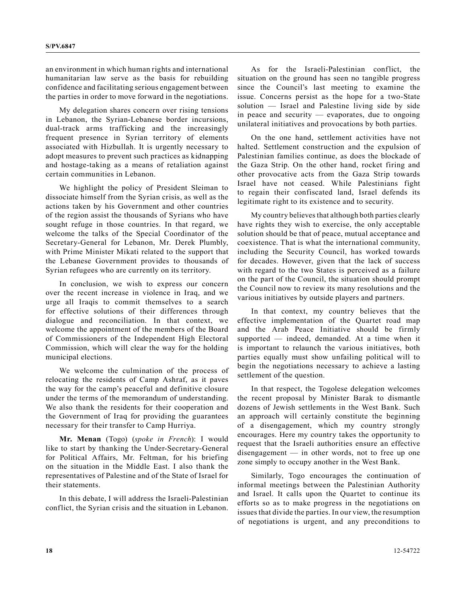an environment in which human rights and international humanitarian law serve as the basis for rebuilding confidence and facilitating serious engagement between the parties in order to move forward in the negotiations.

My delegation shares concern over rising tensions in Lebanon, the Syrian-Lebanese border incursions, dual-track arms trafficking and the increasingly frequent presence in Syrian territory of elements associated with Hizbullah. It is urgently necessary to adopt measures to prevent such practices as kidnapping and hostage-taking as a means of retaliation against certain communities in Lebanon.

We highlight the policy of President Sleiman to dissociate himself from the Syrian crisis, as well as the actions taken by his Government and other countries of the region assist the thousands of Syrians who have sought refuge in those countries. In that regard, we welcome the talks of the Special Coordinator of the Secretary-General for Lebanon, Mr. Derek Plumbly, with Prime Minister Mikati related to the support that the Lebanese Government provides to thousands of Syrian refugees who are currently on its territory.

In conclusion, we wish to express our concern over the recent increase in violence in Iraq, and we urge all Iraqis to commit themselves to a search for effective solutions of their differences through dialogue and reconciliation. In that context, we welcome the appointment of the members of the Board of Commissioners of the Independent High Electoral Commission, which will clear the way for the holding municipal elections.

We welcome the culmination of the process of relocating the residents of Camp Ashraf, as it paves the way for the camp's peaceful and definitive closure under the terms of the memorandum of understanding. We also thank the residents for their cooperation and the Government of Iraq for providing the guarantees necessary for their transfer to Camp Hurriya.

**Mr. Menan** (Togo) (*spoke in French*): I would like to start by thanking the Under-Secretary-General for Political Affairs, Mr. Feltman, for his briefing on the situation in the Middle East. I also thank the representatives of Palestine and of the State of Israel for their statements.

In this debate, I will address the Israeli-Palestinian conflict, the Syrian crisis and the situation in Lebanon.

As for the Israeli-Palestinian conflict, the situation on the ground has seen no tangible progress since the Council's last meeting to examine the issue. Concerns persist as the hope for a two-State solution — Israel and Palestine living side by side in peace and security — evaporates, due to ongoing unilateral initiatives and provocations by both parties.

On the one hand, settlement activities have not halted. Settlement construction and the expulsion of Palestinian families continue, as does the blockade of the Gaza Strip. On the other hand, rocket firing and other provocative acts from the Gaza Strip towards Israel have not ceased. While Palestinians fight to regain their confiscated land, Israel defends its legitimate right to its existence and to security.

My country believes that although both parties clearly have rights they wish to exercise, the only acceptable solution should be that of peace, mutual acceptance and coexistence. That is what the international community, including the Security Council, has worked towards for decades. However, given that the lack of success with regard to the two States is perceived as a failure on the part of the Council, the situation should prompt the Council now to review its many resolutions and the various initiatives by outside players and partners.

In that context, my country believes that the effective implementation of the Quartet road map and the Arab Peace Initiative should be firmly supported — indeed, demanded. At a time when it is important to relaunch the various initiatives, both parties equally must show unfailing political will to begin the negotiations necessary to achieve a lasting settlement of the question.

In that respect, the Togolese delegation welcomes the recent proposal by Minister Barak to dismantle dozens of Jewish settlements in the West Bank. Such an approach will certainly constitute the beginning of a disengagement, which my country strongly encourages. Here my country takes the opportunity to request that the Israeli authorities ensure an effective disengagement — in other words, not to free up one zone simply to occupy another in the West Bank.

Similarly, Togo encourages the continuation of informal meetings between the Palestinian Authority and Israel. It calls upon the Quartet to continue its efforts so as to make progress in the negotiations on issues that divide the parties. In our view, the resumption of negotiations is urgent, and any preconditions to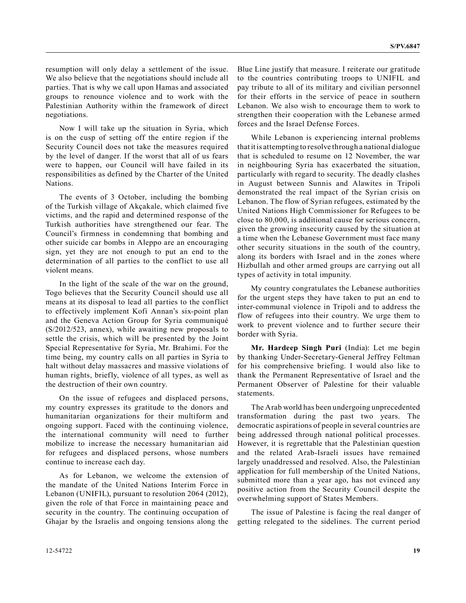resumption will only delay a settlement of the issue. We also believe that the negotiations should include all parties. That is why we call upon Hamas and associated groups to renounce violence and to work with the Palestinian Authority within the framework of direct negotiations.

Now I will take up the situation in Syria, which is on the cusp of setting off the entire region if the Security Council does not take the measures required by the level of danger. If the worst that all of us fears were to happen, our Council will have failed in its responsibilities as defined by the Charter of the United Nations.

The events of 3 October, including the bombing of the Turkish village of Akçakale, which claimed five victims, and the rapid and determined response of the Turkish authorities have strengthened our fear. The Council's firmness in condemning that bombing and other suicide car bombs in Aleppo are an encouraging sign, yet they are not enough to put an end to the determination of all parties to the conflict to use all violent means.

In the light of the scale of the war on the ground, Togo believes that the Security Council should use all means at its disposal to lead all parties to the conflict to effectively implement Kofi Annan's six-point plan and the Geneva Action Group for Syria communiqué (S/2012/523, annex), while awaiting new proposals to settle the crisis, which will be presented by the Joint Special Representative for Syria, Mr. Brahimi. For the time being, my country calls on all parties in Syria to halt without delay massacres and massive violations of human rights, briefly, violence of all types, as well as the destruction of their own country.

On the issue of refugees and displaced persons, my country expresses its gratitude to the donors and humanitarian organizations for their multiform and ongoing support. Faced with the continuing violence, the international community will need to further mobilize to increase the necessary humanitarian aid for refugees and displaced persons, whose numbers continue to increase each day.

As for Lebanon, we welcome the extension of the mandate of the United Nations Interim Force in Lebanon (UNIFIL), pursuant to resolution 2064 (2012), given the role of that Force in maintaining peace and security in the country. The continuing occupation of Ghajar by the Israelis and ongoing tensions along the

Blue Line justify that measure. I reiterate our gratitude to the countries contributing troops to UNIFIL and pay tribute to all of its military and civilian personnel for their efforts in the service of peace in southern Lebanon. We also wish to encourage them to work to strengthen their cooperation with the Lebanese armed forces and the Israel Defense Forces.

While Lebanon is experiencing internal problems that it is attempting to resolve through a national dialogue that is scheduled to resume on 12 November, the war in neighbouring Syria has exacerbated the situation, particularly with regard to security. The deadly clashes in August between Sunnis and Alawites in Tripoli demonstrated the real impact of the Syrian crisis on Lebanon. The flow of Syrian refugees, estimated by the United Nations High Commissioner for Refugees to be close to 80,000, is additional cause for serious concern, given the growing insecurity caused by the situation at a time when the Lebanese Government must face many other security situations in the south of the country, along its borders with Israel and in the zones where Hizbullah and other armed groups are carrying out all types of activity in total impunity.

My country congratulates the Lebanese authorities for the urgent steps they have taken to put an end to inter-communal violence in Tripoli and to address the flow of refugees into their country. We urge them to work to prevent violence and to further secure their border with Syria.

**Mr. Hardeep Singh Puri** (India): Let me begin by thanking Under-Secretary-General Jeffrey Feltman for his comprehensive briefing. I would also like to thank the Permanent Representative of Israel and the Permanent Observer of Palestine for their valuable statements.

The Arab world has been undergoing unprecedented transformation during the past two years. The democratic aspirations of people in several countries are being addressed through national political processes. However, it is regrettable that the Palestinian question and the related Arab-Israeli issues have remained largely unaddressed and resolved. Also, the Palestinian application for full membership of the United Nations, submitted more than a year ago, has not evinced any positive action from the Security Council despite the overwhelming support of States Members.

The issue of Palestine is facing the real danger of getting relegated to the sidelines. The current period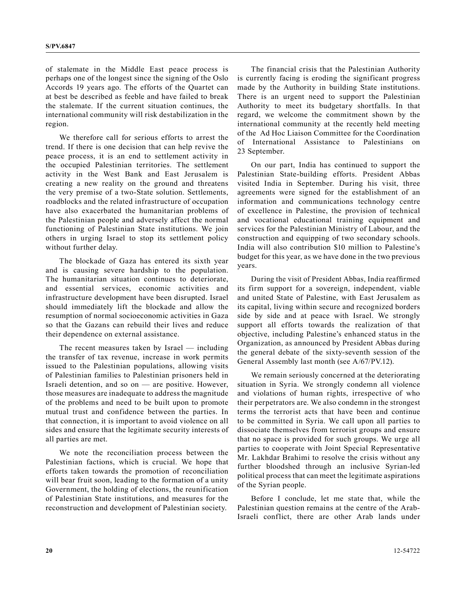of stalemate in the Middle East peace process is perhaps one of the longest since the signing of the Oslo Accords 19 years ago. The efforts of the Quartet can at best be described as feeble and have failed to break the stalemate. If the current situation continues, the international community will risk destabilization in the region.

We therefore call for serious efforts to arrest the trend. If there is one decision that can help revive the peace process, it is an end to settlement activity in the occupied Palestinian territories. The settlement activity in the West Bank and East Jerusalem is creating a new reality on the ground and threatens the very premise of a two-State solution. Settlements, roadblocks and the related infrastructure of occupation have also exacerbated the humanitarian problems of the Palestinian people and adversely affect the normal functioning of Palestinian State institutions. We join others in urging Israel to stop its settlement policy without further delay.

The blockade of Gaza has entered its sixth year and is causing severe hardship to the population. The humanitarian situation continues to deteriorate, and essential services, economic activities and infrastructure development have been disrupted. Israel should immediately lift the blockade and allow the resumption of normal socioeconomic activities in Gaza so that the Gazans can rebuild their lives and reduce their dependence on external assistance.

The recent measures taken by Israel — including the transfer of tax revenue, increase in work permits issued to the Palestinian populations, allowing visits of Palestinian families to Palestinian prisoners held in Israeli detention, and so on — are positive. However, those measures are inadequate to address the magnitude of the problems and need to be built upon to promote mutual trust and confidence between the parties. In that connection, it is important to avoid violence on all sides and ensure that the legitimate security interests of all parties are met.

We note the reconciliation process between the Palestinian factions, which is crucial. We hope that efforts taken towards the promotion of reconciliation will bear fruit soon, leading to the formation of a unity Government, the holding of elections, the reunification of Palestinian State institutions, and measures for the reconstruction and development of Palestinian society.

The financial crisis that the Palestinian Authority is currently facing is eroding the significant progress made by the Authority in building State institutions. There is an urgent need to support the Palestinian Authority to meet its budgetary shortfalls. In that regard, we welcome the commitment shown by the international community at the recently held meeting of the Ad Hoc Liaison Committee for the Coordination of International Assistance to Palestinians on 23 September.

On our part, India has continued to support the Palestinian State-building efforts. President Abbas visited India in September. During his visit, three agreements were signed for the establishment of an information and communications technology centre of excellence in Palestine, the provision of technical and vocational educational training equipment and services for the Palestinian Ministry of Labour, and the construction and equipping of two secondary schools. India will also contribution \$10 million to Palestine's budget for this year, as we have done in the two previous years.

During the visit of President Abbas, India reaffirmed its firm support for a sovereign, independent, viable and united State of Palestine, with East Jerusalem as its capital, living within secure and recognized borders side by side and at peace with Israel. We strongly support all efforts towards the realization of that objective, including Palestine's enhanced status in the Organization, as announced by President Abbas during the general debate of the sixty-seventh session of the General Assembly last month (see A/67/PV.12).

We remain seriously concerned at the deteriorating situation in Syria. We strongly condemn all violence and violations of human rights, irrespective of who their perpetrators are. We also condemn in the strongest terms the terrorist acts that have been and continue to be committed in Syria. We call upon all parties to dissociate themselves from terrorist groups and ensure that no space is provided for such groups. We urge all parties to cooperate with Joint Special Representative Mr. Lakhdar Brahimi to resolve the crisis without any further bloodshed through an inclusive Syrian-led political process that can meet the legitimate aspirations of the Syrian people.

Before I conclude, let me state that, while the Palestinian question remains at the centre of the Arab-Israeli conflict, there are other Arab lands under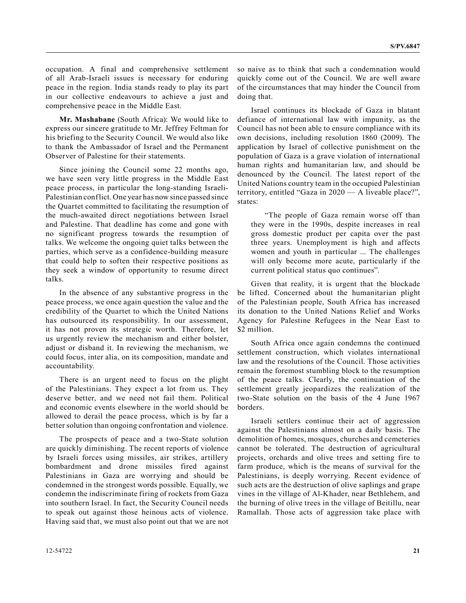occupation. A final and comprehensive settlement of all Arab-Israeli issues is necessary for enduring peace in the region. India stands ready to play its part in our collective endeavours to achieve a just and comprehensive peace in the Middle East.

**Mr. Mashabane** (South Africa): We would like to express our sincere gratitude to Mr. Jeffrey Feltman for his briefing to the Security Council. We would also like to thank the Ambassador of Israel and the Permanent Observer of Palestine for their statements.

Since joining the Council some 22 months ago, we have seen very little progress in the Middle East peace process, in particular the long-standing Israeli-Palestinian conflict. One year has now since passed since the Quartet committed to facilitating the resumption of the much-awaited direct negotiations between Israel and Palestine. That deadline has come and gone with no significant progress towards the resumption of talks. We welcome the ongoing quiet talks between the parties, which serve as a confidence-building measure that could help to soften their respective positions as they seek a window of opportunity to resume direct talks.

In the absence of any substantive progress in the peace process, we once again question the value and the credibility of the Quartet to which the United Nations has outsourced its responsibility. In our assessment, it has not proven its strategic worth. Therefore, let us urgently review the mechanism and either bolster, adjust or disband it. In reviewing the mechanism, we could focus, inter alia, on its composition, mandate and accountability.

There is an urgent need to focus on the plight of the Palestinians. They expect a lot from us. They deserve better, and we need not fail them. Political and economic events elsewhere in the world should be allowed to derail the peace process, which is by far a better solution than ongoing confrontation and violence.

The prospects of peace and a two-State solution are quickly diminishing. The recent reports of violence by Israeli forces using missiles, air strikes, artillery bombardment and drone missiles fired against Palestinians in Gaza are worrying and should be condemned in the strongest words possible. Equally, we condemn the indiscriminate firing of rockets from Gaza into southern Israel. In fact, the Security Council needs to speak out against those heinous acts of violence. Having said that, we must also point out that we are not so naive as to think that such a condemnation would quickly come out of the Council. We are well aware of the circumstances that may hinder the Council from doing that.

Israel continues its blockade of Gaza in blatant defiance of international law with impunity, as the Council has not been able to ensure compliance with its own decisions, including resolution 1860 (2009). The application by Israel of collective punishment on the population of Gaza is a grave violation of international human rights and humanitarian law, and should be denounced by the Council. The latest report of the United Nations country team in the occupied Palestinian territory, entitled "Gaza in 2020 — A liveable place?", states:

"The people of Gaza remain worse off than they were in the 1990s, despite increases in real gross domestic product per capita over the past three years. Unemployment is high and affects women and youth in particular ... The challenges will only become more acute, particularly if the current political status quo continues".

Given that reality, it is urgent that the blockade be lifted. Concerned about the humanitarian plight of the Palestinian people, South Africa has increased its donation to the United Nations Relief and Works Agency for Palestine Refugees in the Near East to \$2 million.

South Africa once again condemns the continued settlement construction, which violates international law and the resolutions of the Council. Those activities remain the foremost stumbling block to the resumption of the peace talks. Clearly, the continuation of the settlement greatly jeopardizes the realization of the two-State solution on the basis of the 4 June 1967 borders.

Israeli settlers continue their act of aggression against the Palestinians almost on a daily basis. The demolition of homes, mosques, churches and cemeteries cannot be tolerated. The destruction of agricultural projects, orchards and olive trees and setting fire to farm produce, which is the means of survival for the Palestinians, is deeply worrying. Recent evidence of such acts are the destruction of olive saplings and grape vines in the village of Al-Khader, near Bethlehem, and the burning of olive trees in the village of Beitillu, near Ramallah. Those acts of aggression take place with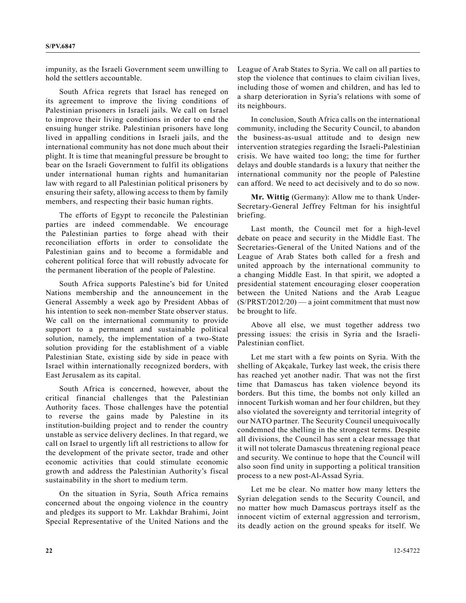impunity, as the Israeli Government seem unwilling to hold the settlers accountable.

South Africa regrets that Israel has reneged on its agreement to improve the living conditions of Palestinian prisoners in Israeli jails. We call on Israel to improve their living conditions in order to end the ensuing hunger strike. Palestinian prisoners have long lived in appalling conditions in Israeli jails, and the international community has not done much about their plight. It is time that meaningful pressure be brought to bear on the Israeli Government to fulfil its obligations under international human rights and humanitarian law with regard to all Palestinian political prisoners by ensuring their safety, allowing access to them by family members, and respecting their basic human rights.

The efforts of Egypt to reconcile the Palestinian parties are indeed commendable. We encourage the Palestinian parties to forge ahead with their reconciliation efforts in order to consolidate the Palestinian gains and to become a formidable and coherent political force that will robustly advocate for the permanent liberation of the people of Palestine.

South Africa supports Palestine's bid for United Nations membership and the announcement in the General Assembly a week ago by President Abbas of his intention to seek non-member State observer status. We call on the international community to provide support to a permanent and sustainable political solution, namely, the implementation of a two-State solution providing for the establishment of a viable Palestinian State, existing side by side in peace with Israel within internationally recognized borders, with East Jerusalem as its capital.

South Africa is concerned, however, about the critical financial challenges that the Palestinian Authority faces. Those challenges have the potential to reverse the gains made by Palestine in its institution-building project and to render the country unstable as service delivery declines. In that regard, we call on Israel to urgently lift all restrictions to allow for the development of the private sector, trade and other economic activities that could stimulate economic growth and address the Palestinian Authority's fiscal sustainability in the short to medium term.

On the situation in Syria, South Africa remains concerned about the ongoing violence in the country and pledges its support to Mr. Lakhdar Brahimi, Joint Special Representative of the United Nations and the

League of Arab States to Syria. We call on all parties to stop the violence that continues to claim civilian lives, including those of women and children, and has led to a sharp deterioration in Syria's relations with some of its neighbours.

In conclusion, South Africa calls on the international community, including the Security Council, to abandon the business-as-usual attitude and to design new intervention strategies regarding the Israeli-Palestinian crisis. We have waited too long; the time for further delays and double standards is a luxury that neither the international community nor the people of Palestine can afford. We need to act decisively and to do so now.

**Mr. Wittig** (Germany): Allow me to thank Under-Secretary-General Jeffrey Feltman for his insightful briefing.

Last month, the Council met for a high-level debate on peace and security in the Middle East. The Secretaries-General of the United Nations and of the League of Arab States both called for a fresh and united approach by the international community to a changing Middle East. In that spirit, we adopted a presidential statement encouraging closer cooperation between the United Nations and the Arab League  $(S/PRST/2012/20)$  — a joint commitment that must now be brought to life.

Above all else, we must together address two pressing issues: the crisis in Syria and the Israeli-Palestinian conflict.

Let me start with a few points on Syria. With the shelling of Akçakale, Turkey last week, the crisis there has reached yet another nadir. That was not the first time that Damascus has taken violence beyond its borders. But this time, the bombs not only killed an innocent Turkish woman and her four children, but they also violated the sovereignty and territorial integrity of our NATO partner. The Security Council unequivocally condemned the shelling in the strongest terms. Despite all divisions, the Council has sent a clear message that it will not tolerate Damascus threatening regional peace and security. We continue to hope that the Council will also soon find unity in supporting a political transition process to a new post-Al-Assad Syria.

Let me be clear. No matter how many letters the Syrian delegation sends to the Security Council, and no matter how much Damascus portrays itself as the innocent victim of external aggression and terrorism, its deadly action on the ground speaks for itself. We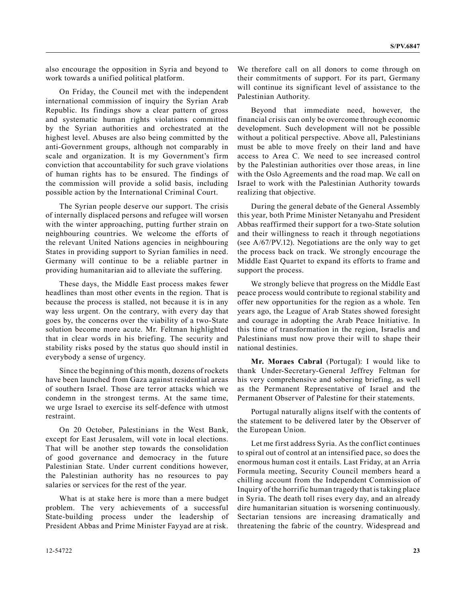also encourage the opposition in Syria and beyond to work towards a unified political platform.

On Friday, the Council met with the independent international commission of inquiry the Syrian Arab Republic. Its findings show a clear pattern of gross and systematic human rights violations committed by the Syrian authorities and orchestrated at the highest level. Abuses are also being committed by the anti-Government groups, although not comparably in scale and organization. It is my Government's firm conviction that accountability for such grave violations of human rights has to be ensured. The findings of the commission will provide a solid basis, including possible action by the International Criminal Court.

The Syrian people deserve our support. The crisis of internally displaced persons and refugee will worsen with the winter approaching, putting further strain on neighbouring countries. We welcome the efforts of the relevant United Nations agencies in neighbouring States in providing support to Syrian families in need. Germany will continue to be a reliable partner in providing humanitarian aid to alleviate the suffering.

These days, the Middle East process makes fewer headlines than most other events in the region. That is because the process is stalled, not because it is in any way less urgent. On the contrary, with every day that goes by, the concerns over the viability of a two-State solution become more acute. Mr. Feltman highlighted that in clear words in his briefing. The security and stability risks posed by the status quo should instil in everybody a sense of urgency.

Since the beginning of this month, dozens of rockets have been launched from Gaza against residential areas of southern Israel. Those are terror attacks which we condemn in the strongest terms. At the same time, we urge Israel to exercise its self-defence with utmost restraint.

On 20 October, Palestinians in the West Bank, except for East Jerusalem, will vote in local elections. That will be another step towards the consolidation of good governance and democracy in the future Palestinian State. Under current conditions however, the Palestinian authority has no resources to pay salaries or services for the rest of the year.

What is at stake here is more than a mere budget problem. The very achievements of a successful State-building process under the leadership of President Abbas and Prime Minister Fayyad are at risk.

We therefore call on all donors to come through on their commitments of support. For its part, Germany will continue its significant level of assistance to the Palestinian Authority.

Beyond that immediate need, however, the financial crisis can only be overcome through economic development. Such development will not be possible without a political perspective. Above all, Palestinians must be able to move freely on their land and have access to Area C. We need to see increased control by the Palestinian authorities over those areas, in line with the Oslo Agreements and the road map. We call on Israel to work with the Palestinian Authority towards realizing that objective.

During the general debate of the General Assembly this year, both Prime Minister Netanyahu and President Abbas reaffirmed their support for a two-State solution and their willingness to reach it through negotiations (see A/67/PV.12). Negotiations are the only way to get the process back on track. We strongly encourage the Middle East Quartet to expand its efforts to frame and support the process.

We strongly believe that progress on the Middle East peace process would contribute to regional stability and offer new opportunities for the region as a whole. Ten years ago, the League of Arab States showed foresight and courage in adopting the Arab Peace Initiative. In this time of transformation in the region, Israelis and Palestinians must now prove their will to shape their national destinies.

**Mr. Moraes Cabral** (Portugal): I would like to thank Under-Secretary-General Jeffrey Feltman for his very comprehensive and sobering briefing, as well as the Permanent Representative of Israel and the Permanent Observer of Palestine for their statements.

Portugal naturally aligns itself with the contents of the statement to be delivered later by the Observer of the European Union.

Let me first address Syria. As the conflict continues to spiral out of control at an intensified pace, so does the enormous human cost it entails. Last Friday, at an Arria Formula meeting, Security Council members heard a chilling account from the Independent Commission of Inquiry of the horrific human tragedy that is taking place in Syria. The death toll rises every day, and an already dire humanitarian situation is worsening continuously. Sectarian tensions are increasing dramatically and threatening the fabric of the country. Widespread and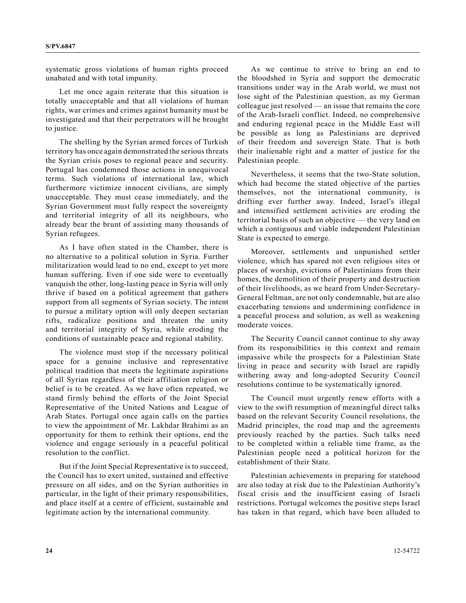systematic gross violations of human rights proceed unabated and with total impunity.

Let me once again reiterate that this situation is totally unacceptable and that all violations of human rights, war crimes and crimes against humanity must be investigated and that their perpetrators will be brought to justice.

The shelling by the Syrian armed forces of Turkish territory has once again demonstrated the serious threats the Syrian crisis poses to regional peace and security. Portugal has condemned those actions in unequivocal terms. Such violations of international law, which furthermore victimize innocent civilians, are simply unacceptable. They must cease immediately, and the Syrian Government must fully respect the sovereignty and territorial integrity of all its neighbours, who already bear the brunt of assisting many thousands of Syrian refugees.

As I have often stated in the Chamber, there is no alternative to a political solution in Syria. Further militarization would lead to no end, except to yet more human suffering. Even if one side were to eventually vanquish the other, long-lasting peace in Syria will only thrive if based on a political agreement that gathers support from all segments of Syrian society. The intent to pursue a military option will only deepen sectarian rifts, radicalize positions and threaten the unity and territorial integrity of Syria, while eroding the conditions of sustainable peace and regional stability.

The violence must stop if the necessary political space for a genuine inclusive and representative political tradition that meets the legitimate aspirations of all Syrian regardless of their affiliation religion or belief is to be created. As we have often repeated, we stand firmly behind the efforts of the Joint Special Representative of the United Nations and League of Arab States. Portugal once again calls on the parties to view the appointment of Mr. Lakhdar Brahimi as an opportunity for them to rethink their options, end the violence and engage seriously in a peaceful political resolution to the conflict.

But if the Joint Special Representative is to succeed, the Council has to exert united, sustained and effective pressure on all sides, and on the Syrian authorities in particular, in the light of their primary responsibilities, and place itself at a centre of efficient, sustainable and legitimate action by the international community.

As we continue to strive to bring an end to the bloodshed in Syria and support the democratic transitions under way in the Arab world, we must not lose sight of the Palestinian question, as my German colleague just resolved — an issue that remains the core of the Arab-Israeli conflict. Indeed, no comprehensive and enduring regional peace in the Middle East will be possible as long as Palestinians are deprived of their freedom and sovereign State. That is both their inalienable right and a matter of justice for the Palestinian people.

Nevertheless, it seems that the two-State solution, which had become the stated objective of the parties themselves, not the international community, is drifting ever further away. Indeed, Israel's illegal and intensified settlement activities are eroding the territorial basis of such an objective — the very land on which a contiguous and viable independent Palestinian State is expected to emerge.

Moreover, settlements and unpunished settler violence, which has spared not even religious sites or places of worship, evictions of Palestinians from their homes, the demolition of their property and destruction of their livelihoods, as we heard from Under-Secretary-General Feltman, are not only condemnable, but are also exacerbating tensions and undermining confidence in a peaceful process and solution, as well as weakening moderate voices.

The Security Council cannot continue to shy away from its responsibilities in this context and remain impassive while the prospects for a Palestinian State living in peace and security with Israel are rapidly withering away and long-adopted Security Council resolutions continue to be systematically ignored.

The Council must urgently renew efforts with a view to the swift resumption of meaningful direct talks based on the relevant Security Council resolutions, the Madrid principles, the road map and the agreements previously reached by the parties. Such talks need to be completed within a reliable time frame, as the Palestinian people need a political horizon for the establishment of their State.

Palestinian achievements in preparing for statehood are also today at risk due to the Palestinian Authority's fiscal crisis and the insufficient easing of Israeli restrictions. Portugal welcomes the positive steps Israel has taken in that regard, which have been alluded to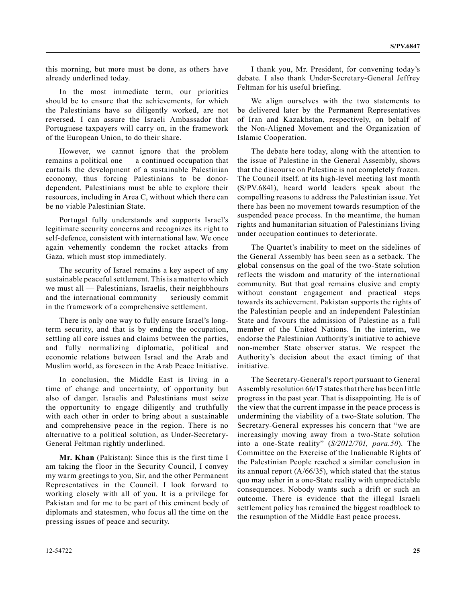this morning, but more must be done, as others have already underlined today.

In the most immediate term, our priorities should be to ensure that the achievements, for which the Palestinians have so diligently worked, are not reversed. I can assure the Israeli Ambassador that Portuguese taxpayers will carry on, in the framework of the European Union, to do their share.

However, we cannot ignore that the problem remains a political one — a continued occupation that curtails the development of a sustainable Palestinian economy, thus forcing Palestinians to be donordependent. Palestinians must be able to explore their resources, including in Area C, without which there can be no viable Palestinian State.

Portugal fully understands and supports Israel's legitimate security concerns and recognizes its right to self-defence, consistent with international law. We once again vehemently condemn the rocket attacks from Gaza, which must stop immediately.

The security of Israel remains a key aspect of any sustainable peaceful settlement. This is a matter to which we must all — Palestinians, Israelis, their neighbhours and the international community — seriously commit in the framework of a comprehensive settlement.

There is only one way to fully ensure Israel's longterm security, and that is by ending the occupation, settling all core issues and claims between the parties, and fully normalizing diplomatic, political and economic relations between Israel and the Arab and Muslim world, as foreseen in the Arab Peace Initiative.

In conclusion, the Middle East is living in a time of change and uncertainty, of opportunity but also of danger. Israelis and Palestinians must seize the opportunity to engage diligently and truthfully with each other in order to bring about a sustainable and comprehensive peace in the region. There is no alternative to a political solution, as Under-Secretary-General Feltman rightly underlined.

**Mr. Khan** (Pakistan): Since this is the first time I am taking the floor in the Security Council, I convey my warm greetings to you, Sir, and the other Permanent Representatives in the Council. I look forward to working closely with all of you. It is a privilege for Pakistan and for me to be part of this eminent body of diplomats and statesmen, who focus all the time on the pressing issues of peace and security.

I thank you, Mr. President, for convening today's debate. I also thank Under-Secretary-General Jeffrey Feltman for his useful briefing.

We align ourselves with the two statements to be delivered later by the Permanent Representatives of Iran and Kazakhstan, respectively, on behalf of the Non-Aligned Movement and the Organization of Islamic Cooperation.

The debate here today, along with the attention to the issue of Palestine in the General Assembly, shows that the discourse on Palestine is not completely frozen. The Council itself, at its high-level meeting last month (S/PV.6841), heard world leaders speak about the compelling reasons to address the Palestinian issue. Yet there has been no movement towards resumption of the suspended peace process. In the meantime, the human rights and humanitarian situation of Palestinians living under occupation continues to deteriorate.

The Quartet's inability to meet on the sidelines of the General Assembly has been seen as a setback. The global consensus on the goal of the two-State solution reflects the wisdom and maturity of the international community. But that goal remains elusive and empty without constant engagement and practical steps towards its achievement. Pakistan supports the rights of the Palestinian people and an independent Palestinian State and favours the admission of Palestine as a full member of the United Nations. In the interim, we endorse the Palestinian Authority's initiative to achieve non-member State observer status. We respect the Authority's decision about the exact timing of that initiative.

The Secretary-General's report pursuant to General Assembly resolution 66/17 states that there has been little progress in the past year. That is disappointing. He is of the view that the current impasse in the peace process is undermining the viability of a two-State solution. The Secretary-General expresses his concern that "we are increasingly moving away from a two-State solution into a one-State reality" (*S/2012/701, para.50*). The Committee on the Exercise of the Inalienable Rights of the Palestinian People reached a similar conclusion in its annual report (A/66/35), which stated that the status quo may usher in a one-State reality with unpredictable consequences. Nobody wants such a drift or such an outcome. There is evidence that the illegal Israeli settlement policy has remained the biggest roadblock to the resumption of the Middle East peace process.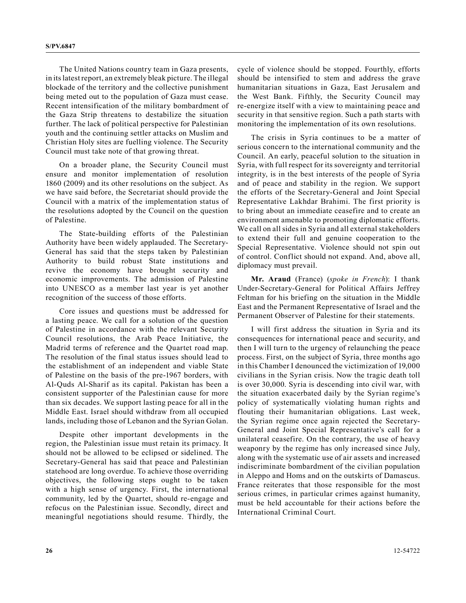The United Nations country team in Gaza presents, in its latest report, an extremely bleak picture. The illegal blockade of the territory and the collective punishment being meted out to the population of Gaza must cease. Recent intensification of the military bombardment of the Gaza Strip threatens to destabilize the situation further. The lack of political perspective for Palestinian youth and the continuing settler attacks on Muslim and Christian Holy sites are fuelling violence. The Security Council must take note of that growing threat.

On a broader plane, the Security Council must ensure and monitor implementation of resolution 1860 (2009) and its other resolutions on the subject. As we have said before, the Secretariat should provide the Council with a matrix of the implementation status of the resolutions adopted by the Council on the question of Palestine.

The State-building efforts of the Palestinian Authority have been widely applauded. The Secretary-General has said that the steps taken by Palestinian Authority to build robust State institutions and revive the economy have brought security and economic improvements. The admission of Palestine into UNESCO as a member last year is yet another recognition of the success of those efforts.

Core issues and questions must be addressed for a lasting peace. We call for a solution of the question of Palestine in accordance with the relevant Security Council resolutions, the Arab Peace Initiative, the Madrid terms of reference and the Quartet road map. The resolution of the final status issues should lead to the establishment of an independent and viable State of Palestine on the basis of the pre-1967 borders, with Al-Quds Al-Sharif as its capital. Pakistan has been a consistent supporter of the Palestinian cause for more than six decades. We support lasting peace for all in the Middle East. Israel should withdraw from all occupied lands, including those of Lebanon and the Syrian Golan.

Despite other important developments in the region, the Palestinian issue must retain its primacy. It should not be allowed to be eclipsed or sidelined. The Secretary-General has said that peace and Palestinian statehood are long overdue. To achieve those overriding objectives, the following steps ought to be taken with a high sense of urgency. First, the international community, led by the Quartet, should re-engage and refocus on the Palestinian issue. Secondly, direct and meaningful negotiations should resume. Thirdly, the cycle of violence should be stopped. Fourthly, efforts should be intensified to stem and address the grave humanitarian situations in Gaza, East Jerusalem and the West Bank. Fifthly, the Security Council may re-energize itself with a view to maintaining peace and security in that sensitive region. Such a path starts with monitoring the implementation of its own resolutions.

The crisis in Syria continues to be a matter of serious concern to the international community and the Council. An early, peaceful solution to the situation in Syria, with full respect for its sovereignty and territorial integrity, is in the best interests of the people of Syria and of peace and stability in the region. We support the efforts of the Secretary-General and Joint Special Representative Lakhdar Brahimi. The first priority is to bring about an immediate ceasefire and to create an environment amenable to promoting diplomatic efforts. We call on all sides in Syria and all external stakeholders to extend their full and genuine cooperation to the Special Representative. Violence should not spin out of control. Conflict should not expand. And, above all, diplomacy must prevail.

**Mr. Araud** (France) (*spoke in French*): I thank Under-Secretary-General for Political Affairs Jeffrey Feltman for his briefing on the situation in the Middle East and the Permanent Representative of Israel and the Permanent Observer of Palestine for their statements.

I will first address the situation in Syria and its consequences for international peace and security, and then I will turn to the urgency of relaunching the peace process. First, on the subject of Syria, three months ago in this Chamber I denounced the victimization of 19,000 civilians in the Syrian crisis. Now the tragic death toll is over 30,000. Syria is descending into civil war, with the situation exacerbated daily by the Syrian regime's policy of systematically violating human rights and flouting their humanitarian obligations. Last week, the Syrian regime once again rejected the Secretary-General and Joint Special Representative's call for a unilateral ceasefire. On the contrary, the use of heavy weaponry by the regime has only increased since July, along with the systematic use of air assets and increased indiscriminate bombardment of the civilian population in Aleppo and Homs and on the outskirts of Damascus. France reiterates that those responsible for the most serious crimes, in particular crimes against humanity, must be held accountable for their actions before the International Criminal Court.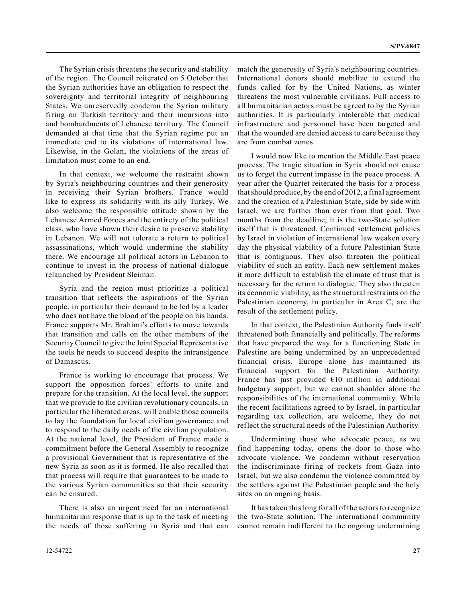The Syrian crisis threatens the security and stability of the region. The Council reiterated on 5 October that the Syrian authorities have an obligation to respect the sovereignty and territorial integrity of neighbouring States. We unreservedly condemn the Syrian military firing on Turkish territory and their incursions into and bombardments of Lebanese territory. The Council demanded at that time that the Syrian regime put an immediate end to its violations of international law. Likewise, in the Golan, the violations of the areas of limitation must come to an end.

In that context, we welcome the restraint shown by Syria's neighbouring countries and their generosity in receiving their Syrian brothers. France would like to express its solidarity with its ally Turkey. We also welcome the responsible attitude shown by the Lebanese Armed Forces and the entirety of the political class, who have shown their desire to preserve stability in Lebanon. We will not tolerate a return to political assassinations, which would undermine the stability there. We encourage all political actors in Lebanon to continue to invest in the process of national dialogue relaunched by President Sleiman.

Syria and the region must prioritize a political transition that reflects the aspirations of the Syrian people, in particular their demand to be led by a leader who does not have the blood of the people on his hands. France supports Mr. Brahimi's efforts to move towards that transition and calls on the other members of the Security Council to give the Joint Special Representative the tools he needs to succeed despite the intransigence of Damascus.

France is working to encourage that process. We support the opposition forces' efforts to unite and prepare for the transition. At the local level, the support that we provide to the civilian revolutionary councils, in particular the liberated areas, will enable those councils to lay the foundation for local civilian governance and to respond to the daily needs of the civilian population. At the national level, the President of France made a commitment before the General Assembly to recognize a provisional Government that is representative of the new Syria as soon as it is formed. He also recalled that that process will require that guarantees to be made to the various Syrian communities so that their security can be ensured.

There is also an urgent need for an international humanitarian response that is up to the task of meeting the needs of those suffering in Syria and that can match the generosity of Syria's neighbouring countries. International donors should mobilize to extend the funds called for by the United Nations, as winter threatens the most vulnerable civilians. Full access to all humanitarian actors must be agreed to by the Syrian authorities. It is particularly intolerable that medical infrastructure and personnel have been targeted and that the wounded are denied access to care because they are from combat zones.

I would now like to mention the Middle East peace process. The tragic situation in Syria should not cause us to forget the current impasse in the peace process. A year after the Quartet reiterated the basis for a process that should produce, by the end of 2012, a final agreement and the creation of a Palestinian State, side by side with Israel, we are further than ever from that goal. Two months from the deadline, it is the two-State solution itself that is threatened. Continued settlement policies by Israel in violation of international law weaken every day the physical viability of a future Palestinian State that is contiguous. They also threaten the political viability of such an entity. Each new settlement makes it more difficult to establish the climate of trust that is necessary for the return to dialogue. They also threaten its economic viability, as the structural restraints on the Palestinian economy, in particular in Area C, are the result of the settlement policy.

In that context, the Palestinian Authority finds itself threatened both financially and politically. The reforms that have prepared the way for a functioning State in Palestine are being undermined by an unprecedented financial crisis. Europe alone has maintained its financial support for the Palestinian Authority. France has just provided  $€10$  million in additional budgetary support, but we cannot shoulder alone the responsibilities of the international community. While the recent facilitations agreed to by Israel, in particular regarding tax collection, are welcome, they do not reflect the structural needs of the Palestinian Authority.

Undermining those who advocate peace, as we find happening today, opens the door to those who advocate violence. We condemn without reservation the indiscriminate firing of rockets from Gaza into Israel, but we also condemn the violence committed by the settlers against the Palestinian people and the holy sites on an ongoing basis.

It has taken this long for all of the actors to recognize the two-State solution. The international community cannot remain indifferent to the ongoing undermining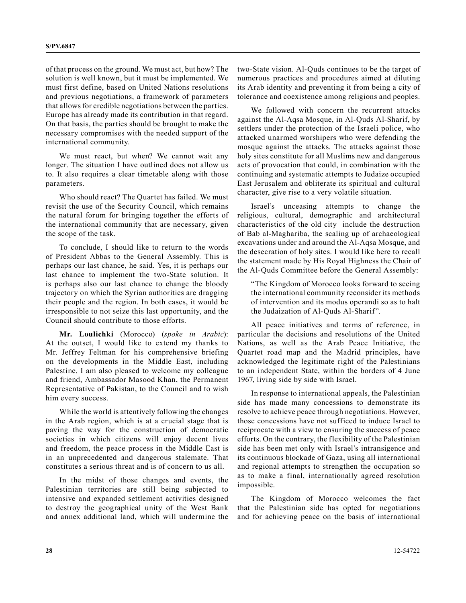of that process on the ground. We must act, but how? The solution is well known, but it must be implemented. We must first define, based on United Nations resolutions and previous negotiations, a framework of parameters that allows for credible negotiations between the parties. Europe has already made its contribution in that regard. On that basis, the parties should be brought to make the necessary compromises with the needed support of the international community.

We must react, but when? We cannot wait any longer. The situation I have outlined does not allow us to. It also requires a clear timetable along with those parameters.

Who should react? The Quartet has failed. We must revisit the use of the Security Council, which remains the natural forum for bringing together the efforts of the international community that are necessary, given the scope of the task.

To conclude, I should like to return to the words of President Abbas to the General Assembly. This is perhaps our last chance, he said. Yes, it is perhaps our last chance to implement the two-State solution. It is perhaps also our last chance to change the bloody trajectory on which the Syrian authorities are dragging their people and the region. In both cases, it would be irresponsible to not seize this last opportunity, and the Council should contribute to those efforts.

**Mr. Loulichki** (Morocco) (*spoke in Arabic*): At the outset, I would like to extend my thanks to Mr. Jeffrey Feltman for his comprehensive briefing on the developments in the Middle East, including Palestine. I am also pleased to welcome my colleague and friend, Ambassador Masood Khan, the Permanent Representative of Pakistan, to the Council and to wish him every success.

While the world is attentively following the changes in the Arab region, which is at a crucial stage that is paving the way for the construction of democratic societies in which citizens will enjoy decent lives and freedom, the peace process in the Middle East is in an unprecedented and dangerous stalemate. That constitutes a serious threat and is of concern to us all.

In the midst of those changes and events, the Palestinian territories are still being subjected to intensive and expanded settlement activities designed to destroy the geographical unity of the West Bank and annex additional land, which will undermine the two-State vision. Al-Quds continues to be the target of numerous practices and procedures aimed at diluting its Arab identity and preventing it from being a city of tolerance and coexistence among religions and peoples.

We followed with concern the recurrent attacks against the Al-Aqsa Mosque, in Al-Quds Al-Sharif, by settlers under the protection of the Israeli police, who attacked unarmed worshipers who were defending the mosque against the attacks. The attacks against those holy sites constitute for all Muslims new and dangerous acts of provocation that could, in combination with the continuing and systematic attempts to Judaize occupied East Jerusalem and obliterate its spiritual and cultural character, give rise to a very volatile situation.

Israel's unceasing attempts to change the religious, cultural, demographic and architectural characteristics of the old city include the destruction of Bab al-Maghariba, the scaling up of archaeological excavations under and around the Al-Aqsa Mosque, and the desecration of holy sites. I would like here to recall the statement made by His Royal Highness the Chair of the Al-Quds Committee before the General Assembly:

"The Kingdom of Morocco looks forward to seeing the international community reconsider its methods of intervention and its modus operandi so as to halt the Judaization of Al-Quds Al-Sharif".

All peace initiatives and terms of reference, in particular the decisions and resolutions of the United Nations, as well as the Arab Peace Initiative, the Quartet road map and the Madrid principles, have acknowledged the legitimate right of the Palestinians to an independent State, within the borders of 4 June 1967, living side by side with Israel.

In response to international appeals, the Palestinian side has made many concessions to demonstrate its resolve to achieve peace through negotiations. However, those concessions have not sufficed to induce Israel to reciprocate with a view to ensuring the success of peace efforts. On the contrary, the flexibility of the Palestinian side has been met only with Israel's intransigence and its continuous blockade of Gaza, using all international and regional attempts to strengthen the occupation so as to make a final, internationally agreed resolution impossible.

The Kingdom of Morocco welcomes the fact that the Palestinian side has opted for negotiations and for achieving peace on the basis of international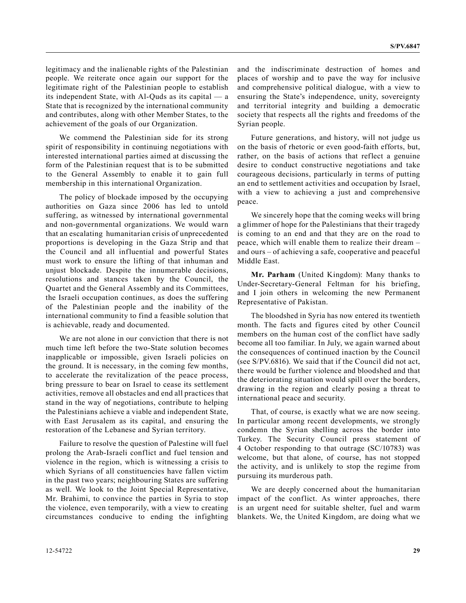legitimacy and the inalienable rights of the Palestinian people. We reiterate once again our support for the legitimate right of the Palestinian people to establish its independent State, with Al-Quds as its capital — a State that is recognized by the international community and contributes, along with other Member States, to the achievement of the goals of our Organization.

We commend the Palestinian side for its strong spirit of responsibility in continuing negotiations with interested international parties aimed at discussing the form of the Palestinian request that is to be submitted to the General Assembly to enable it to gain full membership in this international Organization.

The policy of blockade imposed by the occupying authorities on Gaza since 2006 has led to untold suffering, as witnessed by international governmental and non-governmental organizations. We would warn that an escalating humanitarian crisis of unprecedented proportions is developing in the Gaza Strip and that the Council and all influential and powerful States must work to ensure the lifting of that inhuman and unjust blockade. Despite the innumerable decisions, resolutions and stances taken by the Council, the Quartet and the General Assembly and its Committees, the Israeli occupation continues, as does the suffering of the Palestinian people and the inability of the international community to find a feasible solution that is achievable, ready and documented.

We are not alone in our conviction that there is not much time left before the two-State solution becomes inapplicable or impossible, given Israeli policies on the ground. It is necessary, in the coming few months, to accelerate the revitalization of the peace process, bring pressure to bear on Israel to cease its settlement activities, remove all obstacles and end all practices that stand in the way of negotiations, contribute to helping the Palestinians achieve a viable and independent State, with East Jerusalem as its capital, and ensuring the restoration of the Lebanese and Syrian territory.

Failure to resolve the question of Palestine will fuel prolong the Arab-Israeli conflict and fuel tension and violence in the region, which is witnessing a crisis to which Syrians of all constituencies have fallen victim in the past two years; neighbouring States are suffering as well. We look to the Joint Special Representative, Mr. Brahimi, to convince the parties in Syria to stop the violence, even temporarily, with a view to creating circumstances conducive to ending the infighting and the indiscriminate destruction of homes and places of worship and to pave the way for inclusive and comprehensive political dialogue, with a view to ensuring the State's independence, unity, sovereignty and territorial integrity and building a democratic society that respects all the rights and freedoms of the Syrian people.

Future generations, and history, will not judge us on the basis of rhetoric or even good-faith efforts, but, rather, on the basis of actions that reflect a genuine desire to conduct constructive negotiations and take courageous decisions, particularly in terms of putting an end to settlement activities and occupation by Israel, with a view to achieving a just and comprehensive peace.

We sincerely hope that the coming weeks will bring a glimmer of hope for the Palestinians that their tragedy is coming to an end and that they are on the road to peace, which will enable them to realize their dream – and ours – of achieving a safe, cooperative and peaceful Middle East.

**Mr. Parham** (United Kingdom): Many thanks to Under-Secretary-General Feltman for his briefing, and I join others in welcoming the new Permanent Representative of Pakistan.

The bloodshed in Syria has now entered its twentieth month. The facts and figures cited by other Council members on the human cost of the conflict have sadly become all too familiar. In July, we again warned about the consequences of continued inaction by the Council (see S/PV.6816). We said that if the Council did not act, there would be further violence and bloodshed and that the deteriorating situation would spill over the borders, drawing in the region and clearly posing a threat to international peace and security.

That, of course, is exactly what we are now seeing. In particular among recent developments, we strongly condemn the Syrian shelling across the border into Turkey. The Security Council press statement of 4 October responding to that outrage (SC/10783) was welcome, but that alone, of course, has not stopped the activity, and is unlikely to stop the regime from pursuing its murderous path.

We are deeply concerned about the humanitarian impact of the conflict. As winter approaches, there is an urgent need for suitable shelter, fuel and warm blankets. We, the United Kingdom, are doing what we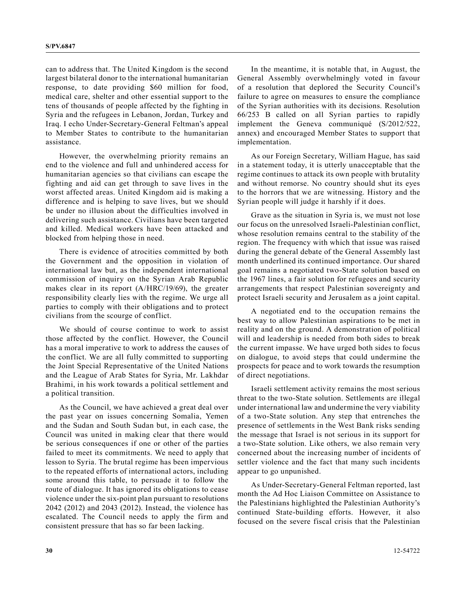can to address that. The United Kingdom is the second largest bilateral donor to the international humanitarian response, to date providing \$60 million for food, medical care, shelter and other essential support to the tens of thousands of people affected by the fighting in Syria and the refugees in Lebanon, Jordan, Turkey and Iraq. I echo Under-Secretary-General Feltman's appeal to Member States to contribute to the humanitarian assistance.

However, the overwhelming priority remains an end to the violence and full and unhindered access for humanitarian agencies so that civilians can escape the fighting and aid can get through to save lives in the worst affected areas. United Kingdom aid is making a difference and is helping to save lives, but we should be under no illusion about the difficulties involved in delivering such assistance. Civilians have been targeted and killed. Medical workers have been attacked and blocked from helping those in need.

There is evidence of atrocities committed by both the Government and the opposition in violation of international law but, as the independent international commission of inquiry on the Syrian Arab Republic makes clear in its report (A/HRC/19/69), the greater responsibility clearly lies with the regime. We urge all parties to comply with their obligations and to protect civilians from the scourge of conflict.

We should of course continue to work to assist those affected by the conflict. However, the Council has a moral imperative to work to address the causes of the conflict. We are all fully committed to supporting the Joint Special Representative of the United Nations and the League of Arab States for Syria, Mr. Lakhdar Brahimi, in his work towards a political settlement and a political transition.

As the Council, we have achieved a great deal over the past year on issues concerning Somalia, Yemen and the Sudan and South Sudan but, in each case, the Council was united in making clear that there would be serious consequences if one or other of the parties failed to meet its commitments. We need to apply that lesson to Syria. The brutal regime has been impervious to the repeated efforts of international actors, including some around this table, to persuade it to follow the route of dialogue. It has ignored its obligations to cease violence under the six-point plan pursuant to resolutions 2042 (2012) and 2043 (2012). Instead, the violence has escalated. The Council needs to apply the firm and consistent pressure that has so far been lacking.

In the meantime, it is notable that, in August, the General Assembly overwhelmingly voted in favour of a resolution that deplored the Security Council's failure to agree on measures to ensure the compliance of the Syrian authorities with its decisions. Resolution 66/253 B called on all Syrian parties to rapidly implement the Geneva communiqué (S/2012/522, annex) and encouraged Member States to support that implementation.

As our Foreign Secretary, William Hague, has said in a statement today, it is utterly unacceptable that the regime continues to attack its own people with brutality and without remorse. No country should shut its eyes to the horrors that we are witnessing. History and the Syrian people will judge it harshly if it does.

Grave as the situation in Syria is, we must not lose our focus on the unresolved Israeli-Palestinian conflict, whose resolution remains central to the stability of the region. The frequency with which that issue was raised during the general debate of the General Assembly last month underlined its continued importance. Our shared goal remains a negotiated two-State solution based on the 1967 lines, a fair solution for refugees and security arrangements that respect Palestinian sovereignty and protect Israeli security and Jerusalem as a joint capital.

A negotiated end to the occupation remains the best way to allow Palestinian aspirations to be met in reality and on the ground. A demonstration of political will and leadership is needed from both sides to break the current impasse. We have urged both sides to focus on dialogue, to avoid steps that could undermine the prospects for peace and to work towards the resumption of direct negotiations.

Israeli settlement activity remains the most serious threat to the two-State solution. Settlements are illegal under international law and undermine the very viability of a two-State solution. Any step that entrenches the presence of settlements in the West Bank risks sending the message that Israel is not serious in its support for a two-State solution. Like others, we also remain very concerned about the increasing number of incidents of settler violence and the fact that many such incidents appear to go unpunished.

As Under-Secretary-General Feltman reported, last month the Ad Hoc Liaison Committee on Assistance to the Palestinians highlighted the Palestinian Authority's continued State-building efforts. However, it also focused on the severe fiscal crisis that the Palestinian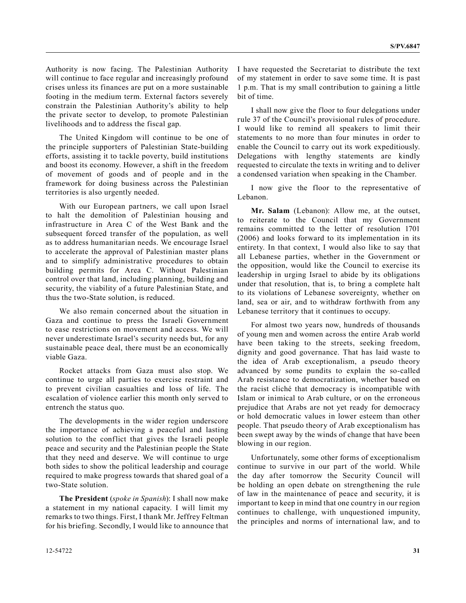Authority is now facing. The Palestinian Authority will continue to face regular and increasingly profound crises unless its finances are put on a more sustainable footing in the medium term. External factors severely constrain the Palestinian Authority's ability to help the private sector to develop, to promote Palestinian livelihoods and to address the fiscal gap.

The United Kingdom will continue to be one of the principle supporters of Palestinian State-building efforts, assisting it to tackle poverty, build institutions and boost its economy. However, a shift in the freedom of movement of goods and of people and in the framework for doing business across the Palestinian territories is also urgently needed.

With our European partners, we call upon Israel to halt the demolition of Palestinian housing and infrastructure in Area C of the West Bank and the subsequent forced transfer of the population, as well as to address humanitarian needs. We encourage Israel to accelerate the approval of Palestinian master plans and to simplify administrative procedures to obtain building permits for Area C. Without Palestinian control over that land, including planning, building and security, the viability of a future Palestinian State, and thus the two-State solution, is reduced.

We also remain concerned about the situation in Gaza and continue to press the Israeli Government to ease restrictions on movement and access. We will never underestimate Israel's security needs but, for any sustainable peace deal, there must be an economically viable Gaza.

Rocket attacks from Gaza must also stop. We continue to urge all parties to exercise restraint and to prevent civilian casualties and loss of life. The escalation of violence earlier this month only served to entrench the status quo.

The developments in the wider region underscore the importance of achieving a peaceful and lasting solution to the conflict that gives the Israeli people peace and security and the Palestinian people the State that they need and deserve. We will continue to urge both sides to show the political leadership and courage required to make progress towards that shared goal of a two-State solution.

**The President** (*spoke in Spanish*): I shall now make a statement in my national capacity. I will limit my remarks to two things. First, I thank Mr. Jeffrey Feltman for his briefing. Secondly, I would like to announce that I have requested the Secretariat to distribute the text of my statement in order to save some time. It is past 1 p.m. That is my small contribution to gaining a little bit of time.

I shall now give the floor to four delegations under rule 37 of the Council's provisional rules of procedure. I would like to remind all speakers to limit their statements to no more than four minutes in order to enable the Council to carry out its work expeditiously. Delegations with lengthy statements are kindly requested to circulate the texts in writing and to deliver a condensed variation when speaking in the Chamber.

I now give the floor to the representative of Lebanon.

**Mr. Salam** (Lebanon): Allow me, at the outset, to reiterate to the Council that my Government remains committed to the letter of resolution 1701 (2006) and looks forward to its implementation in its entirety. In that context, I would also like to say that all Lebanese parties, whether in the Government or the opposition, would like the Council to exercise its leadership in urging Israel to abide by its obligations under that resolution, that is, to bring a complete halt to its violations of Lebanese sovereignty, whether on land, sea or air, and to withdraw forthwith from any Lebanese territory that it continues to occupy.

For almost two years now, hundreds of thousands of young men and women across the entire Arab world have been taking to the streets, seeking freedom, dignity and good governance. That has laid waste to the idea of Arab exceptionalism, a pseudo theory advanced by some pundits to explain the so-called Arab resistance to democratization, whether based on the racist cliché that democracy is incompatible with Islam or inimical to Arab culture, or on the erroneous prejudice that Arabs are not yet ready for democracy or hold democratic values in lower esteem than other people. That pseudo theory of Arab exceptionalism has been swept away by the winds of change that have been blowing in our region.

Unfortunately, some other forms of exceptionalism continue to survive in our part of the world. While the day after tomorrow the Security Council will be holding an open debate on strengthening the rule of law in the maintenance of peace and security, it is important to keep in mind that one country in our region continues to challenge, with unquestioned impunity, the principles and norms of international law, and to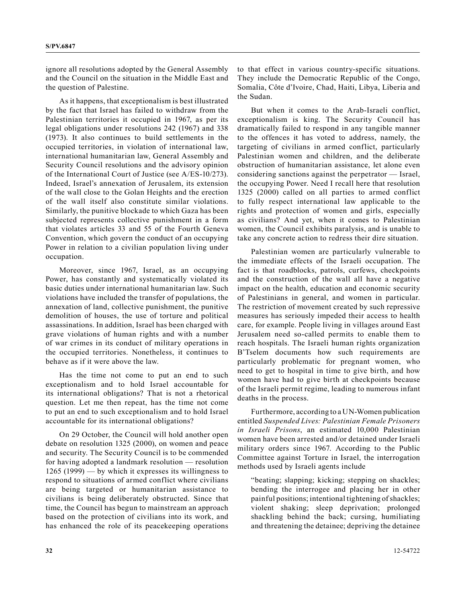ignore all resolutions adopted by the General Assembly and the Council on the situation in the Middle East and the question of Palestine.

As it happens, that exceptionalism is best illustrated by the fact that Israel has failed to withdraw from the Palestinian territories it occupied in 1967, as per its legal obligations under resolutions 242 (1967) and 338 (1973). It also continues to build settlements in the occupied territories, in violation of international law, international humanitarian law, General Assembly and Security Council resolutions and the advisory opinion of the International Court of Justice (see A/ES-10/273). Indeed, Israel's annexation of Jerusalem, its extension of the wall close to the Golan Heights and the erection of the wall itself also constitute similar violations. Similarly, the punitive blockade to which Gaza has been subjected represents collective punishment in a form that violates articles 33 and 55 of the Fourth Geneva Convention, which govern the conduct of an occupying Power in relation to a civilian population living under occupation.

Moreover, since 1967, Israel, as an occupying Power, has constantly and systematically violated its basic duties under international humanitarian law. Such violations have included the transfer of populations, the annexation of land, collective punishment, the punitive demolition of houses, the use of torture and political assassinations. In addition, Israel has been charged with grave violations of human rights and with a number of war crimes in its conduct of military operations in the occupied territories. Nonetheless, it continues to behave as if it were above the law.

Has the time not come to put an end to such exceptionalism and to hold Israel accountable for its international obligations? That is not a rhetorical question. Let me then repeat, has the time not come to put an end to such exceptionalism and to hold Israel accountable for its international obligations?

On 29 October, the Council will hold another open debate on resolution 1325 (2000), on women and peace and security. The Security Council is to be commended for having adopted a landmark resolution — resolution 1265 (1999) — by which it expresses its willingness to respond to situations of armed conflict where civilians are being targeted or humanitarian assistance to civilians is being deliberately obstructed. Since that time, the Council has begun to mainstream an approach based on the protection of civilians into its work, and has enhanced the role of its peacekeeping operations

to that effect in various country-specific situations. They include the Democratic Republic of the Congo, Somalia, Côte d'Ivoire, Chad, Haiti, Libya, Liberia and the Sudan.

But when it comes to the Arab-Israeli conflict, exceptionalism is king. The Security Council has dramatically failed to respond in any tangible manner to the offences it has voted to address, namely, the targeting of civilians in armed conflict, particularly Palestinian women and children, and the deliberate obstruction of humanitarian assistance, let alone even considering sanctions against the perpetrator — Israel, the occupying Power. Need I recall here that resolution 1325 (2000) called on all parties to armed conflict to fully respect international law applicable to the rights and protection of women and girls, especially as civilians? And yet, when it comes to Palestinian women, the Council exhibits paralysis, and is unable to take any concrete action to redress their dire situation.

Palestinian women are particularly vulnerable to the immediate effects of the Israeli occupation. The fact is that roadblocks, patrols, curfews, checkpoints and the construction of the wall all have a negative impact on the health, education and economic security of Palestinians in general, and women in particular. The restriction of movement created by such repressive measures has seriously impeded their access to health care, for example. People living in villages around East Jerusalem need so-called permits to enable them to reach hospitals. The Israeli human rights organization B'Tselem documents how such requirements are particularly problematic for pregnant women, who need to get to hospital in time to give birth, and how women have had to give birth at checkpoints because of the Israeli permit regime, leading to numerous infant deaths in the process.

Furthermore, according to a UN-Women publication entitled *Suspended Lives: Palestinian Female Prisoners in Israeli Prisons*, an estimated 10,000 Palestinian women have been arrested and/or detained under Israeli military orders since 1967. According to the Public Committee against Torture in Israel, the interrogation methods used by Israeli agents include

"beating; slapping; kicking; stepping on shackles; bending the interrogee and placing her in other painful positions; intentional tightening of shackles; violent shaking; sleep deprivation; prolonged shackling behind the back; cursing, humiliating and threatening the detainee; depriving the detainee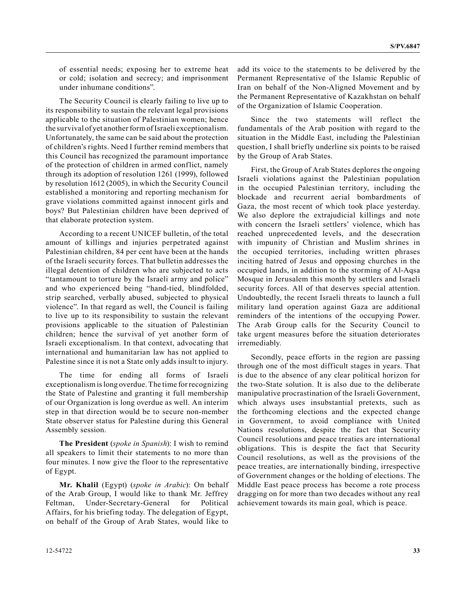of essential needs; exposing her to extreme heat or cold; isolation and secrecy; and imprisonment under inhumane conditions".

The Security Council is clearly failing to live up to its responsibility to sustain the relevant legal provisions applicable to the situation of Palestinian women; hence the survival of yet another form of Israeli exceptionalism. Unfortunately, the same can be said about the protection of children's rights. Need I further remind members that this Council has recognized the paramount importance of the protection of children in armed conflict, namely through its adoption of resolution 1261 (1999), followed by resolution 1612 (2005), in which the Security Council established a monitoring and reporting mechanism for grave violations committed against innocent girls and boys? But Palestinian children have been deprived of that elaborate protection system.

According to a recent UNICEF bulletin, of the total amount of killings and injuries perpetrated against Palestinian children, 84 per cent have been at the hands of the Israeli security forces. That bulletin addresses the illegal detention of children who are subjected to acts "tantamount to torture by the Israeli army and police" and who experienced being "hand-tied, blindfolded, strip searched, verbally abused, subjected to physical violence". In that regard as well, the Council is failing to live up to its responsibility to sustain the relevant provisions applicable to the situation of Palestinian children; hence the survival of yet another form of Israeli exceptionalism. In that context, advocating that international and humanitarian law has not applied to Palestine since it is not a State only adds insult to injury.

The time for ending all forms of Israeli exceptionalism is long overdue. The time for recognizing the State of Palestine and granting it full membership of our Organization is long overdue as well. An interim step in that direction would be to secure non-member State observer status for Palestine during this General Assembly session.

**The President** (*spoke in Spanish*): I wish to remind all speakers to limit their statements to no more than four minutes. I now give the floor to the representative of Egypt.

**Mr. Khalil** (Egypt) (*spoke in Arabic*): On behalf of the Arab Group, I would like to thank Mr. Jeffrey Feltman, Under-Secretary-General for Political Affairs, for his briefing today. The delegation of Egypt, on behalf of the Group of Arab States, would like to

add its voice to the statements to be delivered by the Permanent Representative of the Islamic Republic of Iran on behalf of the Non-Aligned Movement and by the Permanent Representative of Kazakhstan on behalf of the Organization of Islamic Cooperation.

Since the two statements will reflect the fundamentals of the Arab position with regard to the situation in the Middle East, including the Palestinian question, I shall briefly underline six points to be raised by the Group of Arab States.

First, the Group of Arab States deplores the ongoing Israeli violations against the Palestinian population in the occupied Palestinian territory, including the blockade and recurrent aerial bombardments of Gaza, the most recent of which took place yesterday. We also deplore the extrajudicial killings and note with concern the Israeli settlers' violence, which has reached unprecedented levels, and the desecration with impunity of Christian and Muslim shrines in the occupied territories, including written phrases inciting hatred of Jesus and opposing churches in the occupied lands, in addition to the storming of Al-Aqsa Mosque in Jerusalem this month by settlers and Israeli security forces. All of that deserves special attention. Undoubtedly, the recent Israeli threats to launch a full military land operation against Gaza are additional reminders of the intentions of the occupying Power. The Arab Group calls for the Security Council to take urgent measures before the situation deteriorates irremediably.

Secondly, peace efforts in the region are passing through one of the most difficult stages in years. That is due to the absence of any clear political horizon for the two-State solution. It is also due to the deliberate manipulative procrastination of the Israeli Government, which always uses insubstantial pretexts, such as the forthcoming elections and the expected change in Government, to avoid compliance with United Nations resolutions, despite the fact that Security Council resolutions and peace treaties are international obligations. This is despite the fact that Security Council resolutions, as well as the provisions of the peace treaties, are internationally binding, irrespective of Government changes or the holding of elections. The Middle East peace process has become a rote process dragging on for more than two decades without any real achievement towards its main goal, which is peace.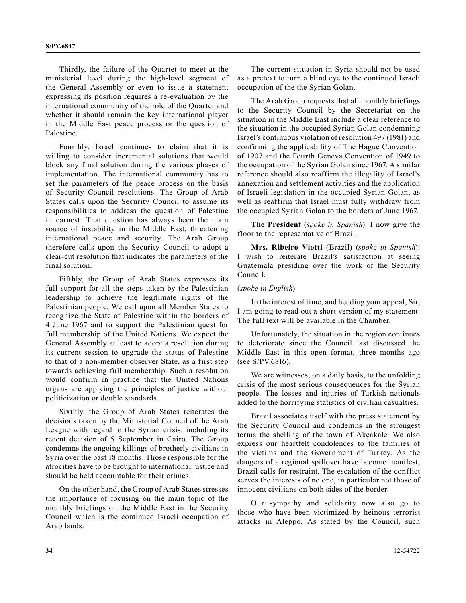Thirdly, the failure of the Quartet to meet at the ministerial level during the high-level segment of the General Assembly or even to issue a statement expressing its position requires a re-evaluation by the international community of the role of the Quartet and whether it should remain the key international player in the Middle East peace process or the question of Palestine.

Fourthly, Israel continues to claim that it is willing to consider incremental solutions that would block any final solution during the various phases of implementation. The international community has to set the parameters of the peace process on the basis of Security Council resolutions. The Group of Arab States calls upon the Security Council to assume its responsibilities to address the question of Palestine in earnest. That question has always been the main source of instability in the Middle East, threatening international peace and security. The Arab Group therefore calls upon the Security Council to adopt a clear-cut resolution that indicates the parameters of the final solution.

Fifthly, the Group of Arab States expresses its full support for all the steps taken by the Palestinian leadership to achieve the legitimate rights of the Palestinian people. We call upon all Member States to recognize the State of Palestine within the borders of 4 June 1967 and to support the Palestinian quest for full membership of the United Nations. We expect the General Assembly at least to adopt a resolution during its current session to upgrade the status of Palestine to that of a non-member observer State, as a first step towards achieving full membership. Such a resolution would confirm in practice that the United Nations organs are applying the principles of justice without politicization or double standards.

Sixthly, the Group of Arab States reiterates the decisions taken by the Ministerial Council of the Arab League with regard to the Syrian crisis, including its recent decision of 5 September in Cairo. The Group condemns the ongoing killings of brotherly civilians in Syria over the past 18 months. Those responsible for the atrocities have to be brought to international justice and should be held accountable for their crimes.

On the other hand, the Group of Arab States stresses the importance of focusing on the main topic of the monthly briefings on the Middle East in the Security Council which is the continued Israeli occupation of Arab lands.

The current situation in Syria should not be used as a pretext to turn a blind eye to the continued Israeli occupation of the the Syrian Golan.

The Arab Group requests that all monthly briefings to the Security Council by the Secretariat on the situation in the Middle East include a clear reference to the situation in the occupied Syrian Golan condemning Israel's continuous violation of resolution 497 (1981) and confirming the applicability of The Hague Convention of 1907 and the Fourth Geneva Convention of 1949 to the occupation of the Syrian Golan since 1967. A similar reference should also reaffirm the illegality of Israel's annexation and settlement activities and the application of Israeli legislation in the occupied Syrian Golan, as well as reaffirm that Israel must fully withdraw from the occupied Syrian Golan to the borders of June 1967.

**The President** (*spoke in Spanish*): I now give the floor to the representative of Brazil.

**Mrs. Ribeiro Viotti** (Brazil) (*spoke in Spanish*): I wish to reiterate Brazil's satisfaction at seeing Guatemala presiding over the work of the Security Council.

## (*spoke in English*)

In the interest of time, and heeding your appeal, Sir, I am going to read out a short version of my statement. The full text will be available in the Chamber.

Unfortunately, the situation in the region continues to deteriorate since the Council last discussed the Middle East in this open format, three months ago (see S/PV.6816).

We are witnesses, on a daily basis, to the unfolding crisis of the most serious consequences for the Syrian people. The losses and injuries of Turkish nationals added to the horrifying statistics of civilian casualties.

Brazil associates itself with the press statement by the Security Council and condemns in the strongest terms the shelling of the town of Akçakale. We also express our heartfelt condolences to the families of the victims and the Government of Turkey. As the dangers of a regional spillover have become manifest, Brazil calls for restraint. The escalation of the conflict serves the interests of no one, in particular not those of innocent civilians on both sides of the border.

Our sympathy and solidarity now also go to those who have been victimized by heinous terrorist attacks in Aleppo. As stated by the Council, such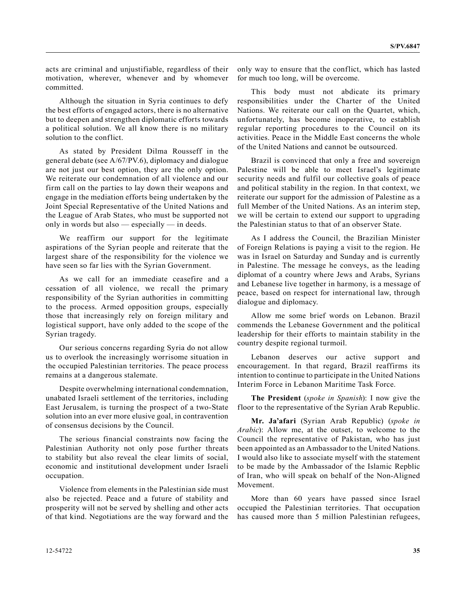acts are criminal and unjustifiable, regardless of their motivation, wherever, whenever and by whomever committed.

Although the situation in Syria continues to defy the best efforts of engaged actors, there is no alternative but to deepen and strengthen diplomatic efforts towards a political solution. We all know there is no military solution to the conflict.

As stated by President Dilma Rousseff in the general debate (see A/67/PV.6), diplomacy and dialogue are not just our best option, they are the only option. We reiterate our condemnation of all violence and our firm call on the parties to lay down their weapons and engage in the mediation efforts being undertaken by the Joint Special Representative of the United Nations and the League of Arab States, who must be supported not only in words but also — especially — in deeds.

We reaffirm our support for the legitimate aspirations of the Syrian people and reiterate that the largest share of the responsibility for the violence we have seen so far lies with the Syrian Government.

As we call for an immediate ceasefire and a cessation of all violence, we recall the primary responsibility of the Syrian authorities in committing to the process. Armed opposition groups, especially those that increasingly rely on foreign military and logistical support, have only added to the scope of the Syrian tragedy.

Our serious concerns regarding Syria do not allow us to overlook the increasingly worrisome situation in the occupied Palestinian territories. The peace process remains at a dangerous stalemate.

Despite overwhelming international condemnation, unabated Israeli settlement of the territories, including East Jerusalem, is turning the prospect of a two-State solution into an ever more elusive goal, in contravention of consensus decisions by the Council.

The serious financial constraints now facing the Palestinian Authority not only pose further threats to stability but also reveal the clear limits of social, economic and institutional development under Israeli occupation.

Violence from elements in the Palestinian side must also be rejected. Peace and a future of stability and prosperity will not be served by shelling and other acts of that kind. Negotiations are the way forward and the

only way to ensure that the conflict, which has lasted for much too long, will be overcome.

This body must not abdicate its primary responsibilities under the Charter of the United Nations. We reiterate our call on the Quartet, which, unfortunately, has become inoperative, to establish regular reporting procedures to the Council on its activities. Peace in the Middle East concerns the whole of the United Nations and cannot be outsourced.

Brazil is convinced that only a free and sovereign Palestine will be able to meet Israel's legitimate security needs and fulfil our collective goals of peace and political stability in the region. In that context, we reiterate our support for the admission of Palestine as a full Member of the United Nations. As an interim step, we will be certain to extend our support to upgrading the Palestinian status to that of an observer State.

As I address the Council, the Brazilian Minister of Foreign Relations is paying a visit to the region. He was in Israel on Saturday and Sunday and is currently in Palestine. The message he conveys, as the leading diplomat of a country where Jews and Arabs, Syrians and Lebanese live together in harmony, is a message of peace, based on respect for international law, through dialogue and diplomacy.

Allow me some brief words on Lebanon. Brazil commends the Lebanese Government and the political leadership for their efforts to maintain stability in the country despite regional turmoil.

Lebanon deserves our active support and encouragement. In that regard, Brazil reaffirms its intention to continue to participate in the United Nations Interim Force in Lebanon Maritime Task Force.

**The President** (*spoke in Spanish*): I now give the floor to the representative of the Syrian Arab Republic.

**Mr. Ja'afari** (Syrian Arab Republic) (*spoke in Arabic*): Allow me, at the outset, to welcome to the Council the representative of Pakistan, who has just been appointed as an Ambassador to the United Nations. I would also like to associate myself with the statement to be made by the Ambassador of the Islamic Repblic of Iran, who will speak on behalf of the Non-Aligned Movement.

More than 60 years have passed since Israel occupied the Palestinian territories. That occupation has caused more than 5 million Palestinian refugees,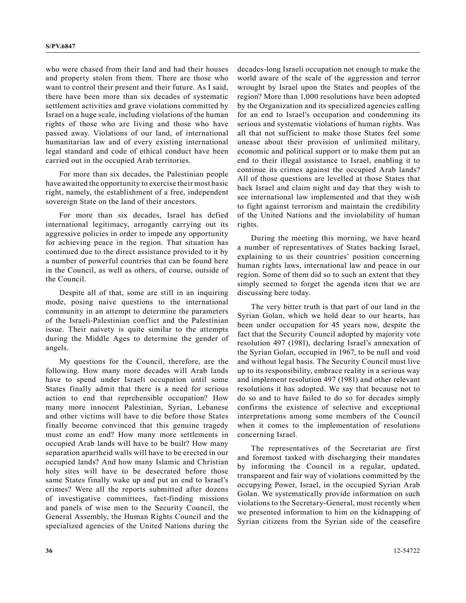who were chased from their land and had their houses and property stolen from them. There are those who want to control their present and their future. As I said, there have been more than six decades of systematic settlement activities and grave violations committed by Israel on a huge scale, including violations of the human rights of those who are living and those who have passed away. Violations of our land, of international humanitarian law and of every existing international legal standard and code of ethical conduct have been carried out in the occupied Arab territories.

For more than six decades, the Palestinian people have awaited the opportunity to exercise their most basic right, namely, the establishment of a free, independent sovereign State on the land of their ancestors.

For more than six decades, Israel has defied international legitimacy, arrogantly carrying out its aggressive policies in order to impede any opportunity for achieving peace in the region. That situation has continued due to the direct assistance provided to it by a number of powerful countries that can be found here in the Council, as well as others, of course, outside of the Council.

Despite all of that, some are still in an inquiring mode, posing naive questions to the international community in an attempt to determine the parameters of the Israeli-Palestinian conflict and the Palestinian issue. Their naivety is quite similar to the attempts during the Middle Ages to determine the gender of angels.

My questions for the Council, therefore, are the following. How many more decades will Arab lands have to spend under Israeli occupation until some States finally admit that there is a need for serious action to end that reprehensible occupation? How many more innocent Palestinian, Syrian, Lebanese and other victims will have to die before those States finally become convinced that this genuine tragedy must come an end? How many more settlements in occupied Arab lands will have to be built? How many separation apartheid walls will have to be erected in our occupied lands? And how many Islamic and Christian holy sites will have to be desecrated before those same States finally wake up and put an end to Israel's crimes? Were all the reports submitted after dozens of investigative committees, fact-finding missions and panels of wise men to the Security Council, the General Assembly, the Human Rights Council and the specialized agencies of the United Nations during the

decades-long Israeli occupation not enough to make the world aware of the scale of the aggression and terror wrought by Israel upon the States and peoples of the region? More than 1,000 resolutions have been adopted by the Organization and its specialized agencies calling for an end to Israel's occupation and condemning its serious and systematic violations of human rights. Was all that not sufficient to make those States feel some unease about their provision of unlimited military, economic and political support or to make them put an end to their illegal assistance to Israel, enabling it to continue its crimes against the occupied Arab lands? All of those questions are levelled at those States that back Israel and claim night and day that they wish to see international law implemented and that they wish to fight against terrorism and maintain the credibility of the United Nations and the inviolability of human rights.

During the meeting this morning, we have heard a number of representatives of States backing Israel, explaining to us their countries' position concerning human rights laws, international law and peace in our region. Some of them did so to such an extent that they simply seemed to forget the agenda item that we are discussing here today.

The very bitter truth is that part of our land in the Syrian Golan, which we hold dear to our hearts, has been under occupation for 45 years now, despite the fact that the Security Council adopted by majority vote resolution 497 (1981), declaring Israel's annexation of the Syrian Golan, occupied in 1967, to be null and void and without legal basis. The Security Council must live up to its responsibility, embrace reality in a serious way and implement resolution 497 (1981) and other relevant resolutions it has adopted. We say that because not to do so and to have failed to do so for decades simply confirms the existence of selective and exceptional interpretations among some members of the Council when it comes to the implementation of resolutions concerning Israel.

The representatives of the Secretariat are first and foremost tasked with discharging their mandates by informing the Council in a regular, updated, transparent and fair way of violations committed by the occupying Power, Israel, in the occupied Syrian Arab Golan. We systematically provide information on such violations to the Secretary-General, most recently when we presented information to him on the kidnapping of Syrian citizens from the Syrian side of the ceasefire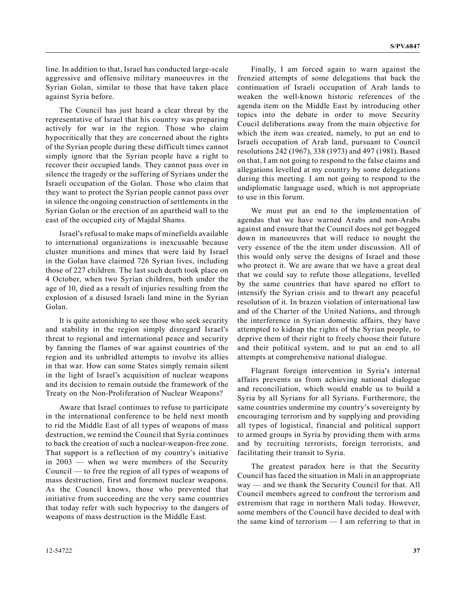line. In addition to that, Israel has conducted large-scale aggressive and offensive military manoeuvres in the Syrian Golan, similar to those that have taken place against Syria before.

The Council has just heard a clear threat by the representative of Israel that his country was preparing actively for war in the region. Those who claim hypocritically that they are concerned about the rights of the Syrian people during these difficult times cannot simply ignore that the Syrian people have a right to recover their occupied lands. They cannot pass over in silence the tragedy or the suffering of Syrians under the Israeli occupation of the Golan. Those who claim that they want to protect the Syrian people cannot pass over in silence the ongoing construction of settlements in the Syrian Golan or the erection of an apartheid wall to the east of the occupied city of Majdal Shams.

Israel's refusal to make maps of minefields available to international organizations is inexcusable because cluster munitions and mines that were laid by Israel in the Golan have claimed 726 Syrian lives, including those of 227 children. The last such death took place on 4 October, when two Syrian children, both under the age of 10, died as a result of injuries resulting from the explosion of a disused Israeli land mine in the Syrian Golan.

It is quite astonishing to see those who seek security and stability in the region simply disregard Israel's threat to regional and international peace and security by fanning the flames of war against countries of the region and its unbridled attempts to involve its allies in that war. How can some States simply remain silent in the light of Israel's acquisition of nuclear weapons and its decision to remain outside the framework of the Treaty on the Non-Proliferation of Nuclear Weapons?

Aware that Israel continues to refuse to participate in the international conference to be held next month to rid the Middle East of all types of weapons of mass destruction, we remind the Council that Syria continues to back the creation of such a nuclear-weapon-free zone. That support is a reflection of my country's initiative in 2003 — when we were members of the Security Council — to free the region of all types of weapons of mass destruction, first and foremost nuclear weapons. As the Council knows, those who prevented that initiative from succeeding are the very same countries that today refer with such hypocrisy to the dangers of weapons of mass destruction in the Middle East.

Finally, I am forced again to warn against the frenzied attempts of some delegations that back the continuation of Israeli occupation of Arab lands to weaken the well-known historic references of the agenda item on the Middle East by introducing other topics into the debate in order to move Security Coucil deliberations away from the main objective for which the item was created, namely, to put an end to Israeli occupation of Arab land, pursuant to Council resolutions 242 (1967), 338 (1973) and 497 (1981). Based on that, I am not going to respond to the false claims and allegations levelled at my country by some delegations during this meeting. I am not going to respond to the undiplomatic language used, which is not appropriate to use in this forum.

We must put an end to the implementation of agendas that we have warned Arabs and non-Arabs against and ensure that the Council does not get bogged down in manoeuvres that will reduce to nought the very essence of the the item under discussion. All of this would only serve the designs of Israel and those who protect it. We are aware that we have a great deal that we could say to refute those allegations, levelled by the same countries that have spared no effort to intensify the Syrian crisis and to thwart any peaceful resolution of it. In brazen violation of international law and of the Charter of the United Nations, and through the interference in Syrian domestic affairs, they have attempted to kidnap the rights of the Syrian people, to deprive them of their right to freely choose their future and their political system, and to put an end to all attempts at comprehensive national dialogue.

Flagrant foreign intervention in Syria's internal affairs prevents us from achieving national dialogue and reconciliation, which would enable us to build a Syria by all Syrians for all Syrians. Furthermore, the same countries undermine my country's sovereignty by encouraging terrorism and by supplying and providing all types of logistical, financial and political support to armed groups in Syria by providing them with arms and by recruiting terrorists, foreign terrorists, and facilitating their transit to Syria.

The greatest paradox here is that the Security Council has faced the situation in Mali in an appropriate way — and we thank the Security Council for that. All Council members agreed to confront the terrorism and extremism that rage in northern Mali today. However, some members of the Council have decided to deal with the same kind of terrorism — I am referring to that in